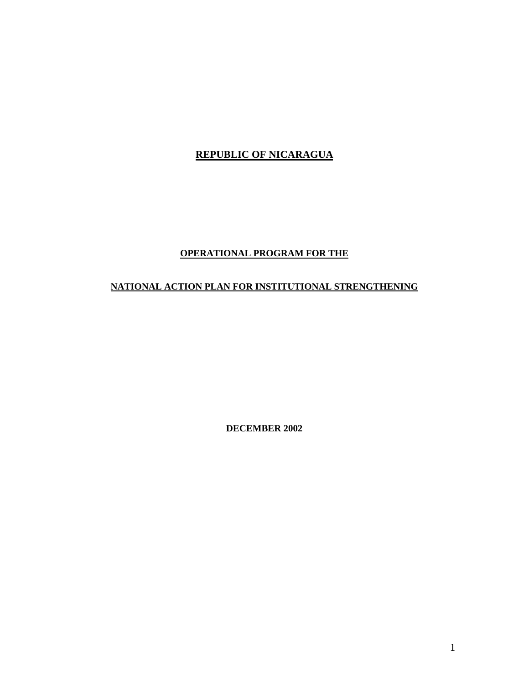# **REPUBLIC OF NICARAGUA**

# **OPERATIONAL PROGRAM FOR THE**

# **NATIONAL ACTION PLAN FOR INSTITUTIONAL STRENGTHENING**

**DECEMBER 2002**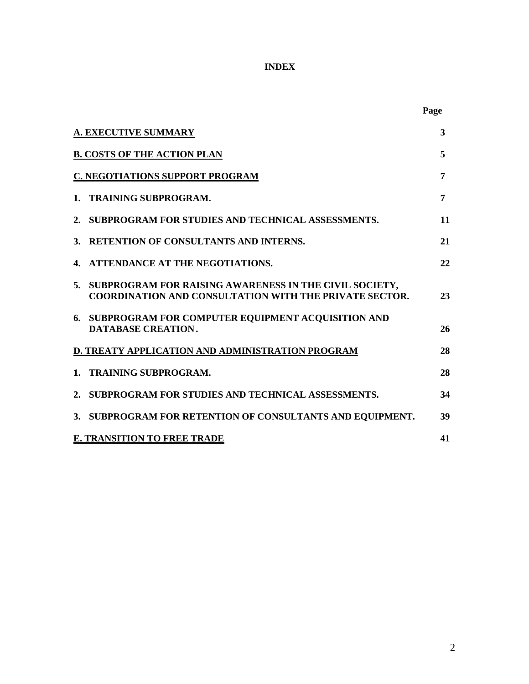# **INDEX**

|    |                                                                                                                         | Page |
|----|-------------------------------------------------------------------------------------------------------------------------|------|
|    | <b>A. EXECUTIVE SUMMARY</b>                                                                                             | 3    |
|    | <b>B. COSTS OF THE ACTION PLAN</b>                                                                                      | 5    |
|    | <b>C. NEGOTIATIONS SUPPORT PROGRAM</b>                                                                                  | 7    |
| 1. | <b>TRAINING SUBPROGRAM.</b>                                                                                             | 7    |
|    | 2. SUBPROGRAM FOR STUDIES AND TECHNICAL ASSESSMENTS.                                                                    | 11   |
| 3. | <b>RETENTION OF CONSULTANTS AND INTERNS.</b>                                                                            | 21   |
| 4. | ATTENDANCE AT THE NEGOTIATIONS.                                                                                         | 22   |
| 5. | SUBPROGRAM FOR RAISING AWARENESS IN THE CIVIL SOCIETY,<br><b>COORDINATION AND CONSULTATION WITH THE PRIVATE SECTOR.</b> | 23   |
|    | 6. SUBPROGRAM FOR COMPUTER EQUIPMENT ACQUISITION AND<br>DATABASE CREATION.                                              | 26   |
|    | D. TREATY APPLICATION AND ADMINISTRATION PROGRAM                                                                        | 28   |
| 1. | <b>TRAINING SUBPROGRAM.</b>                                                                                             | 28   |
|    | 2. SUBPROGRAM FOR STUDIES AND TECHNICAL ASSESSMENTS.                                                                    | 34   |
|    | 3. SUBPROGRAM FOR RETENTION OF CONSULTANTS AND EQUIPMENT.                                                               | 39   |
|    | <b>E. TRANSITION TO FREE TRADE</b>                                                                                      | 41   |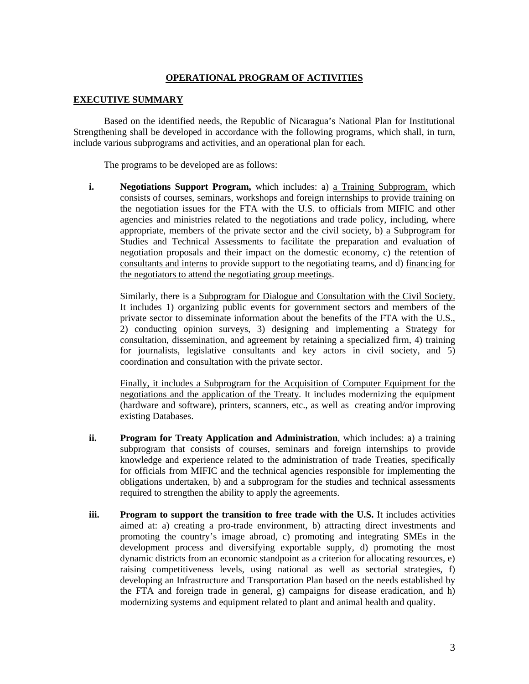#### **OPERATIONAL PROGRAM OF ACTIVITIES**

#### **EXECUTIVE SUMMARY**

Based on the identified needs, the Republic of Nicaragua's National Plan for Institutional Strengthening shall be developed in accordance with the following programs, which shall, in turn, include various subprograms and activities, and an operational plan for each.

The programs to be developed are as follows:

**i. Negotiations Support Program,** which includes: a) a Training Subprogram, which consists of courses, seminars, workshops and foreign internships to provide training on the negotiation issues for the FTA with the U.S. to officials from MIFIC and other agencies and ministries related to the negotiations and trade policy, including, where appropriate, members of the private sector and the civil society, b) a Subprogram for Studies and Technical Assessments to facilitate the preparation and evaluation of negotiation proposals and their impact on the domestic economy, c) the retention of consultants and interns to provide support to the negotiating teams, and d) financing for the negotiators to attend the negotiating group meetings.

Similarly, there is a Subprogram for Dialogue and Consultation with the Civil Society. It includes 1) organizing public events for government sectors and members of the private sector to disseminate information about the benefits of the FTA with the U.S., 2) conducting opinion surveys, 3) designing and implementing a Strategy for consultation, dissemination, and agreement by retaining a specialized firm, 4) training for journalists, legislative consultants and key actors in civil society, and 5) coordination and consultation with the private sector.

Finally, it includes a Subprogram for the Acquisition of Computer Equipment for the negotiations and the application of the Treaty. It includes modernizing the equipment (hardware and software), printers, scanners, etc., as well as creating and/or improving existing Databases.

- **ii. Program for Treaty Application and Administration**, which includes: a) a training subprogram that consists of courses, seminars and foreign internships to provide knowledge and experience related to the administration of trade Treaties, specifically for officials from MIFIC and the technical agencies responsible for implementing the obligations undertaken, b) and a subprogram for the studies and technical assessments required to strengthen the ability to apply the agreements.
- **iii. Program to support the transition to free trade with the U.S.** It includes activities aimed at: a) creating a pro-trade environment, b) attracting direct investments and promoting the country's image abroad, c) promoting and integrating SMEs in the development process and diversifying exportable supply, d) promoting the most dynamic districts from an economic standpoint as a criterion for allocating resources, e) raising competitiveness levels, using national as well as sectorial strategies, f) developing an Infrastructure and Transportation Plan based on the needs established by the FTA and foreign trade in general, g) campaigns for disease eradication, and h) modernizing systems and equipment related to plant and animal health and quality.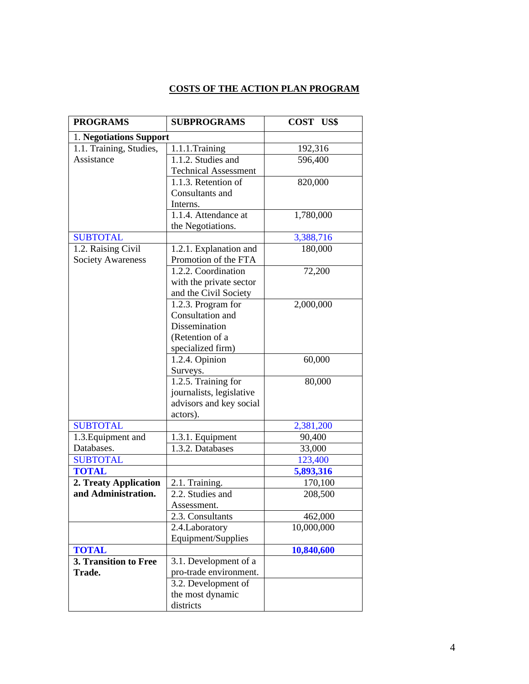# **COSTS OF THE ACTION PLAN PROGRAM**

| <b>PROGRAMS</b>          | <b>SUBPROGRAMS</b>          | COST US\$  |
|--------------------------|-----------------------------|------------|
| 1. Negotiations Support  |                             |            |
| 1.1. Training, Studies,  | 1.1.1.Training              | 192,316    |
| Assistance               | 1.1.2. Studies and          | 596,400    |
|                          | <b>Technical Assessment</b> |            |
|                          | 1.1.3. Retention of         | 820,000    |
|                          | Consultants and             |            |
|                          | Interns.                    |            |
|                          | 1.1.4. Attendance at        | 1,780,000  |
|                          | the Negotiations.           |            |
| <b>SUBTOTAL</b>          |                             | 3,388,716  |
| 1.2. Raising Civil       | 1.2.1. Explanation and      | 180,000    |
| <b>Society Awareness</b> | Promotion of the FTA        |            |
|                          | 1.2.2. Coordination         | 72,200     |
|                          | with the private sector     |            |
|                          | and the Civil Society       |            |
|                          | 1.2.3. Program for          | 2,000,000  |
|                          | Consultation and            |            |
|                          | Dissemination               |            |
|                          | (Retention of a             |            |
|                          | specialized firm)           |            |
|                          | 1.2.4. Opinion              | 60,000     |
|                          | Surveys.                    |            |
|                          | 1.2.5. Training for         | 80,000     |
|                          | journalists, legislative    |            |
|                          | advisors and key social     |            |
|                          | actors).                    |            |
| <b>SUBTOTAL</b>          |                             | 2,381,200  |
| 1.3. Equipment and       | 1.3.1. Equipment            | 90,400     |
| Databases.               | 1.3.2. Databases            | 33,000     |
| <b>SUBTOTAL</b>          |                             | 123,400    |
| <b>TOTAL</b>             |                             | 5,893,316  |
| 2. Treaty Application    | 2.1. Training.              | 170,100    |
| and Administration.      | 2.2. Studies and            | 208,500    |
|                          | Assessment.                 |            |
|                          | 2.3. Consultants            | 462,000    |
|                          | 2.4. Laboratory             | 10,000,000 |
|                          | Equipment/Supplies          |            |
| <b>TOTAL</b>             |                             | 10,840,600 |
| 3. Transition to Free    | 3.1. Development of a       |            |
| Trade.                   | pro-trade environment.      |            |
|                          | 3.2. Development of         |            |
|                          | the most dynamic            |            |
|                          | districts                   |            |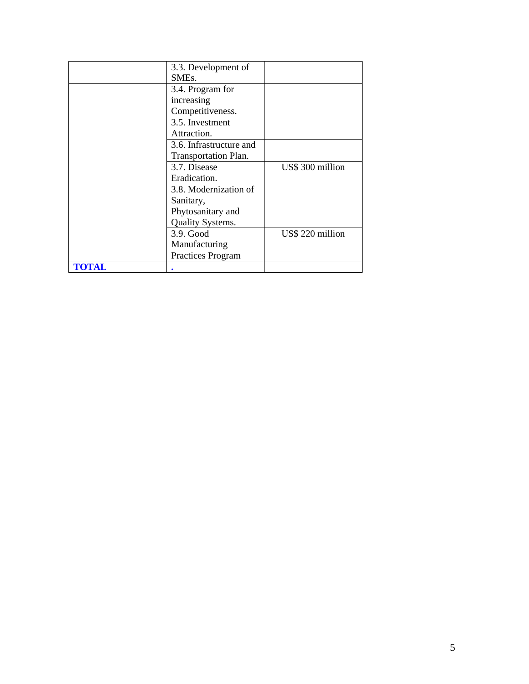|              | 3.3. Development of         |                  |
|--------------|-----------------------------|------------------|
|              | SME <sub>s</sub> .          |                  |
|              | 3.4. Program for            |                  |
|              | increasing                  |                  |
|              | Competitiveness.            |                  |
|              | 3.5. Investment             |                  |
|              | Attraction.                 |                  |
|              | 3.6. Infrastructure and     |                  |
|              | <b>Transportation Plan.</b> |                  |
|              | 3.7. Disease                | US\$ 300 million |
|              | Eradication.                |                  |
|              | 3.8. Modernization of       |                  |
|              | Sanitary,                   |                  |
|              | Phytosanitary and           |                  |
|              | Quality Systems.            |                  |
|              | 3.9. Good                   | US\$ 220 million |
|              | Manufacturing               |                  |
|              | Practices Program           |                  |
| <b>TOTAL</b> |                             |                  |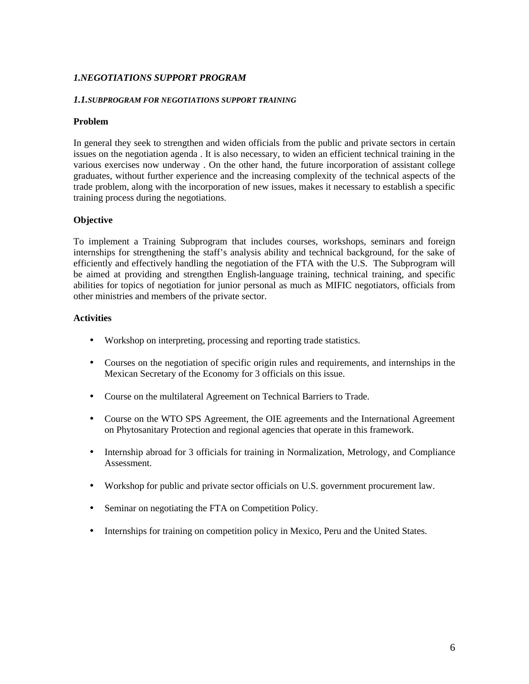## *1.NEGOTIATIONS SUPPORT PROGRAM*

#### *1.1.SUBPROGRAM FOR NEGOTIATIONS SUPPORT TRAINING*

#### **Problem**

In general they seek to strengthen and widen officials from the public and private sectors in certain issues on the negotiation agenda . It is also necessary, to widen an efficient technical training in the various exercises now underway . On the other hand, the future incorporation of assistant college graduates, without further experience and the increasing complexity of the technical aspects of the trade problem, along with the incorporation of new issues, makes it necessary to establish a specific training process during the negotiations.

#### **Objective**

To implement a Training Subprogram that includes courses, workshops, seminars and foreign internships for strengthening the staff's analysis ability and technical background, for the sake of efficiently and effectively handling the negotiation of the FTA with the U.S. The Subprogram will be aimed at providing and strengthen English-language training, technical training, and specific abilities for topics of negotiation for junior personal as much as MIFIC negotiators, officials from other ministries and members of the private sector.

- Workshop on interpreting, processing and reporting trade statistics.
- Courses on the negotiation of specific origin rules and requirements, and internships in the Mexican Secretary of the Economy for 3 officials on this issue.
- Course on the multilateral Agreement on Technical Barriers to Trade.
- Course on the WTO SPS Agreement, the OIE agreements and the International Agreement on Phytosanitary Protection and regional agencies that operate in this framework.
- Internship abroad for 3 officials for training in Normalization, Metrology, and Compliance Assessment.
- Workshop for public and private sector officials on U.S. government procurement law.
- Seminar on negotiating the FTA on Competition Policy.
- Internships for training on competition policy in Mexico, Peru and the United States.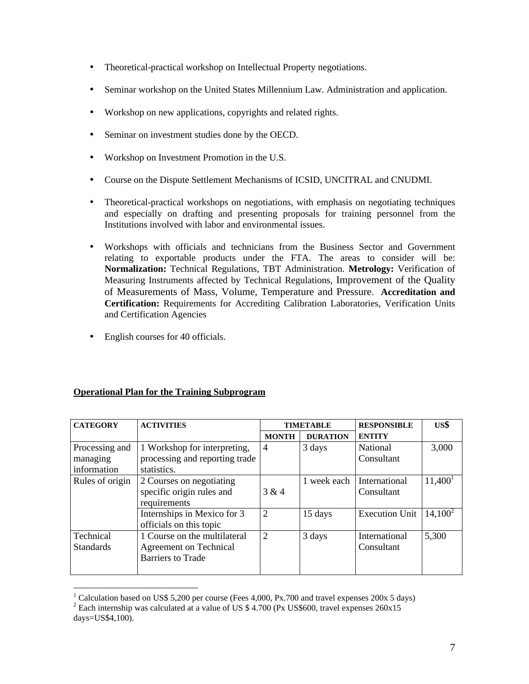- Theoretical-practical workshop on Intellectual Property negotiations.
- Seminar workshop on the United States Millennium Law. Administration and application.
- Workshop on new applications, copyrights and related rights.
- Seminar on investment studies done by the OECD.
- Workshop on Investment Promotion in the U.S.
- Course on the Dispute Settlement Mechanisms of ICSID, UNCITRAL and CNUDMI.
- Theoretical-practical workshops on negotiations, with emphasis on negotiating techniques and especially on drafting and presenting proposals for training personnel from the Institutions involved with labor and environmental issues.
- Workshops with officials and technicians from the Business Sector and Government relating to exportable products under the FTA. The areas to consider will be: **Normalization:** Technical Regulations, TBT Administration. **Metrology:** Verification of Measuring Instruments affected by Technical Regulations, Improvement of the Quality of Measurements of Mass, Volume, Temperature and Pressure. **Accreditation and Certification:** Requirements for Accrediting Calibration Laboratories, Verification Units and Certification Agencies
- English courses for 40 officials.

## **Operational Plan for the Training Subprogram**

| <b>CATEGORY</b>  | <b>ACTIVITIES</b>              | <b>TIMETABLE</b> |                 | <b>RESPONSIBLE</b>    | US\$       |
|------------------|--------------------------------|------------------|-----------------|-----------------------|------------|
|                  |                                | <b>MONTH</b>     | <b>DURATION</b> | <b>ENTITY</b>         |            |
| Processing and   | 1 Workshop for interpreting,   | $\overline{4}$   | 3 days          | National              | 3,000      |
| managing         | processing and reporting trade |                  |                 | Consultant            |            |
| information      | statistics.                    |                  |                 |                       |            |
| Rules of origin  | 2 Courses on negotiating       |                  | 1 week each     | International         | $11,400^1$ |
|                  | specific origin rules and      | 3 & 4            |                 | Consultant            |            |
|                  | requirements                   |                  |                 |                       |            |
|                  | Internships in Mexico for 3    | $\overline{2}$   | 15 days         | <b>Execution Unit</b> | $14,100^2$ |
|                  | officials on this topic        |                  |                 |                       |            |
| Technical        | 1 Course on the multilateral   | $\overline{2}$   | 3 days          | International         | 5,300      |
| <b>Standards</b> | <b>Agreement on Technical</b>  |                  |                 | Consultant            |            |
|                  | <b>Barriers to Trade</b>       |                  |                 |                       |            |
|                  |                                |                  |                 |                       |            |

<sup>&</sup>lt;u>.</u> <sup>1</sup> Calculation based on US\$ 5,200 per course (Fees 4,000, Px.700 and travel expenses 200x 5 days)

<sup>&</sup>lt;sup>2</sup> Each internship was calculated at a value of US \$ 4.700 (Px US\$600, travel expenses  $260x15$ days=US\$4,100).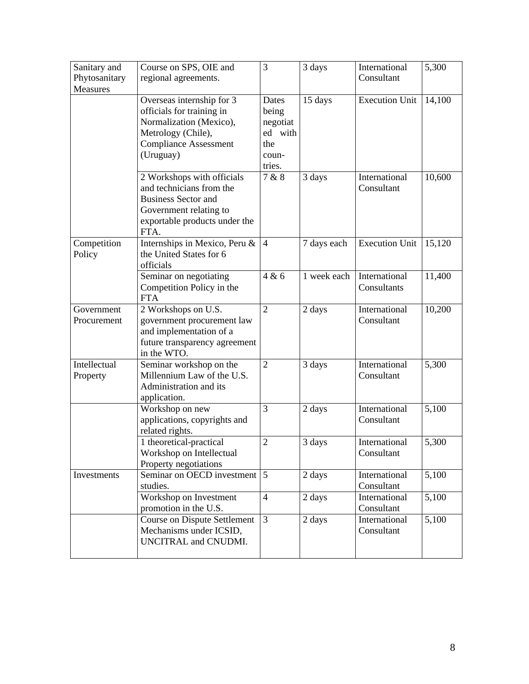| Sanitary and<br>Phytosanitary | Course on SPS, OIE and<br>regional agreements.                                                                                                          | 3                                                               | 3 days      | International<br>Consultant  | 5,300  |
|-------------------------------|---------------------------------------------------------------------------------------------------------------------------------------------------------|-----------------------------------------------------------------|-------------|------------------------------|--------|
| <b>Measures</b>               |                                                                                                                                                         |                                                                 |             |                              |        |
|                               | Overseas internship for 3<br>officials for training in<br>Normalization (Mexico),<br>Metrology (Chile),<br><b>Compliance Assessment</b><br>(Uruguay)    | Dates<br>being<br>negotiat<br>ed with<br>the<br>coun-<br>tries. | 15 days     | <b>Execution Unit</b>        | 14,100 |
|                               | 2 Workshops with officials<br>and technicians from the<br><b>Business Sector and</b><br>Government relating to<br>exportable products under the<br>FTA. | 7 & 8                                                           | 3 days      | International<br>Consultant  | 10,600 |
| Competition<br>Policy         | Internships in Mexico, Peru &<br>the United States for 6<br>officials                                                                                   | $\overline{4}$                                                  | 7 days each | <b>Execution Unit</b>        | 15,120 |
|                               | Seminar on negotiating<br>Competition Policy in the<br><b>FTA</b>                                                                                       | 4 & 6                                                           | 1 week each | International<br>Consultants | 11,400 |
| Government<br>Procurement     | 2 Workshops on U.S.<br>government procurement law<br>and implementation of a<br>future transparency agreement<br>in the WTO.                            | $\overline{2}$                                                  | 2 days      | International<br>Consultant  | 10,200 |
| Intellectual<br>Property      | Seminar workshop on the<br>Millennium Law of the U.S.<br>Administration and its<br>application.                                                         | $\overline{2}$                                                  | 3 days      | International<br>Consultant  | 5,300  |
|                               | Workshop on new<br>applications, copyrights and<br>related rights.                                                                                      | 3                                                               | 2 days      | International<br>Consultant  | 5,100  |
|                               | 1 theoretical-practical<br>Workshop on Intellectual<br>Property negotiations                                                                            | $\overline{2}$                                                  | 3 days      | International<br>Consultant  | 5,300  |
| Investments                   | Seminar on OECD investment<br>studies.                                                                                                                  | $5\overline{5}$                                                 | 2 days      | International<br>Consultant  | 5,100  |
|                               | Workshop on Investment<br>promotion in the U.S.                                                                                                         | $\overline{4}$                                                  | 2 days      | International<br>Consultant  | 5,100  |
|                               | <b>Course on Dispute Settlement</b><br>Mechanisms under ICSID,<br>UNCITRAL and CNUDMI.                                                                  | $\overline{3}$                                                  | 2 days      | International<br>Consultant  | 5,100  |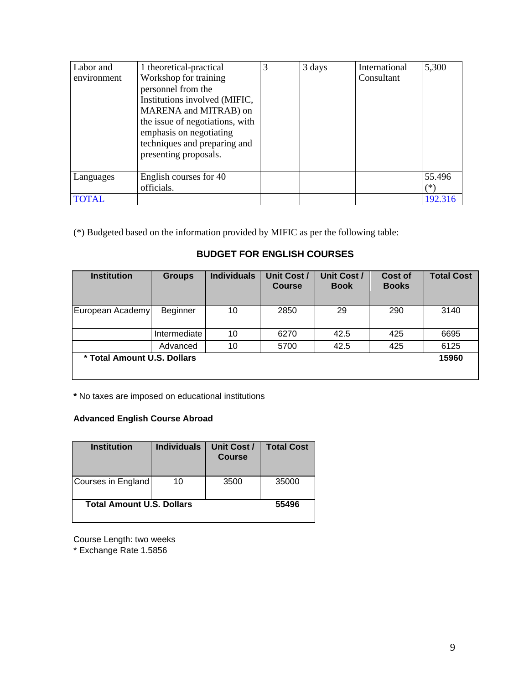| Labor and<br>environment | 1 theoretical-practical<br>Workshop for training<br>personnel from the<br>Institutions involved (MIFIC,<br>MARENA and MITRAB) on<br>the issue of negotiations, with<br>emphasis on negotiating<br>techniques and preparing and<br>presenting proposals. | 3 | 3 days | International<br>Consultant | 5,300         |
|--------------------------|---------------------------------------------------------------------------------------------------------------------------------------------------------------------------------------------------------------------------------------------------------|---|--------|-----------------------------|---------------|
| Languages                | English courses for 40<br>officials.                                                                                                                                                                                                                    |   |        |                             | 55.496<br>(*) |
| <b>TOTAL</b>             |                                                                                                                                                                                                                                                         |   |        |                             | 192.316       |

(\*) Budgeted based on the information provided by MIFIC as per the following table:

# **BUDGET FOR ENGLISH COURSES**

| <b>Institution</b>          | <b>Groups</b> | <b>Individuals</b> | <b>Unit Cost /</b><br><b>Course</b> | <b>Unit Cost /</b><br><b>Book</b> | <b>Cost of</b><br><b>Books</b> | <b>Total Cost</b> |
|-----------------------------|---------------|--------------------|-------------------------------------|-----------------------------------|--------------------------------|-------------------|
| European Academy            | Beginner      | 10                 | 2850                                | 29                                | 290                            | 3140              |
|                             | Intermediate  | 10                 | 6270                                | 42.5                              | 425                            | 6695              |
|                             | Advanced      | 10                 | 5700                                | 42.5                              | 425                            | 6125              |
| * Total Amount U.S. Dollars |               |                    |                                     |                                   | 15960                          |                   |

**\*** No taxes are imposed on educational institutions

## **Advanced English Course Abroad**

| <b>Institution</b>               | <b>Individuals</b> | Unit Cost /<br><b>Course</b> | <b>Total Cost</b> |
|----------------------------------|--------------------|------------------------------|-------------------|
| Courses in England               | 10                 | 3500                         | 35000             |
| <b>Total Amount U.S. Dollars</b> |                    | 55496                        |                   |

Course Length: two weeks

\* Exchange Rate 1.5856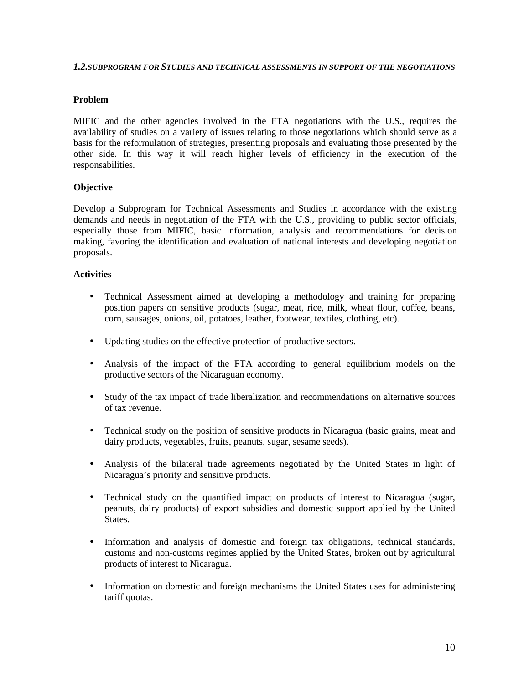#### *1.2.SUBPROGRAM FOR STUDIES AND TECHNICAL ASSESSMENTS IN SUPPORT OF THE NEGOTIATIONS*

#### **Problem**

MIFIC and the other agencies involved in the FTA negotiations with the U.S., requires the availability of studies on a variety of issues relating to those negotiations which should serve as a basis for the reformulation of strategies, presenting proposals and evaluating those presented by the other side. In this way it will reach higher levels of efficiency in the execution of the responsabilities.

## **Objective**

Develop a Subprogram for Technical Assessments and Studies in accordance with the existing demands and needs in negotiation of the FTA with the U.S., providing to public sector officials, especially those from MIFIC, basic information, analysis and recommendations for decision making, favoring the identification and evaluation of national interests and developing negotiation proposals.

- Technical Assessment aimed at developing a methodology and training for preparing position papers on sensitive products (sugar, meat, rice, milk, wheat flour, coffee, beans, corn, sausages, onions, oil, potatoes, leather, footwear, textiles, clothing, etc).
- Updating studies on the effective protection of productive sectors.
- Analysis of the impact of the FTA according to general equilibrium models on the productive sectors of the Nicaraguan economy.
- Study of the tax impact of trade liberalization and recommendations on alternative sources of tax revenue.
- Technical study on the position of sensitive products in Nicaragua (basic grains, meat and dairy products, vegetables, fruits, peanuts, sugar, sesame seeds).
- Analysis of the bilateral trade agreements negotiated by the United States in light of Nicaragua's priority and sensitive products.
- Technical study on the quantified impact on products of interest to Nicaragua (sugar, peanuts, dairy products) of export subsidies and domestic support applied by the United States.
- Information and analysis of domestic and foreign tax obligations, technical standards, customs and non-customs regimes applied by the United States, broken out by agricultural products of interest to Nicaragua.
- Information on domestic and foreign mechanisms the United States uses for administering tariff quotas.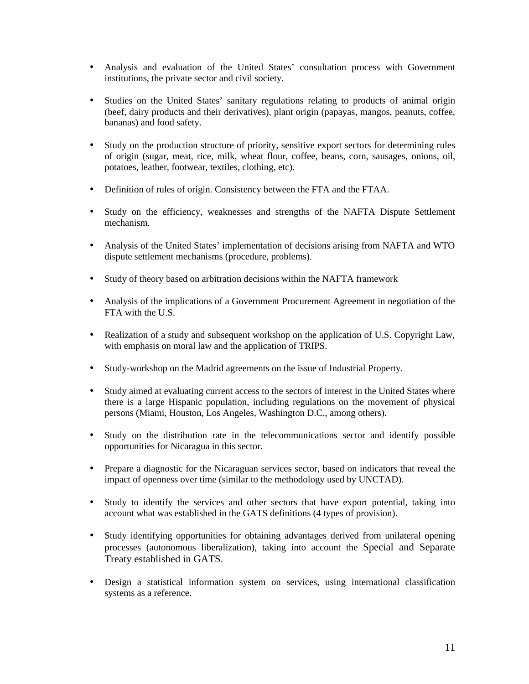- Analysis and evaluation of the United States' consultation process with Government institutions, the private sector and civil society.
- Studies on the United States' sanitary regulations relating to products of animal origin (beef, dairy products and their derivatives), plant origin (papayas, mangos, peanuts, coffee, bananas) and food safety.
- Study on the production structure of priority, sensitive export sectors for determining rules of origin (sugar, meat, rice, milk, wheat flour, coffee, beans, corn, sausages, onions, oil, potatoes, leather, footwear, textiles, clothing, etc).
- Definition of rules of origin. Consistency between the FTA and the FTAA.
- Study on the efficiency, weaknesses and strengths of the NAFTA Dispute Settlement mechanism.
- Analysis of the United States' implementation of decisions arising from NAFTA and WTO dispute settlement mechanisms (procedure, problems).
- Study of theory based on arbitration decisions within the NAFTA framework
- Analysis of the implications of a Government Procurement Agreement in negotiation of the FTA with the U.S.
- Realization of a study and subsequent workshop on the application of U.S. Copyright Law, with emphasis on moral law and the application of TRIPS.
- Study-workshop on the Madrid agreements on the issue of Industrial Property.
- Study aimed at evaluating current access to the sectors of interest in the United States where there is a large Hispanic population, including regulations on the movement of physical persons (Miami, Houston, Los Angeles, Washington D.C., among others).
- Study on the distribution rate in the telecommunications sector and identify possible opportunities for Nicaragua in this sector.
- Prepare a diagnostic for the Nicaraguan services sector, based on indicators that reveal the impact of openness over time (similar to the methodology used by UNCTAD).
- Study to identify the services and other sectors that have export potential, taking into account what was established in the GATS definitions (4 types of provision).
- Study identifying opportunities for obtaining advantages derived from unilateral opening processes (autonomous liberalization), taking into account the Special and Separate Treaty established in GATS.
- Design a statistical information system on services, using international classification systems as a reference.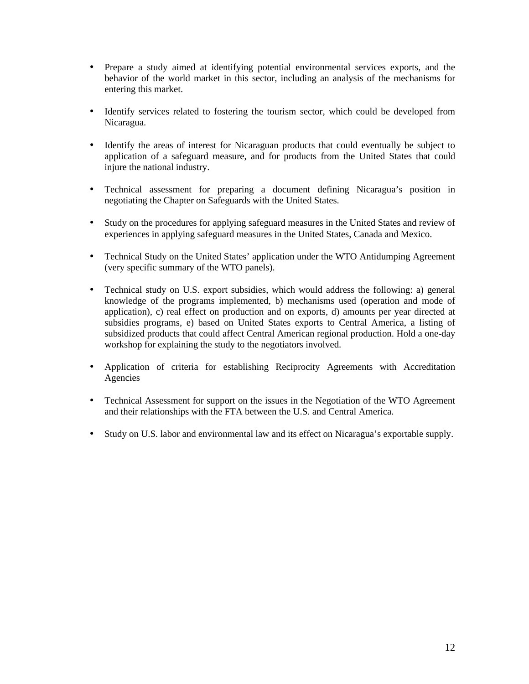- Prepare a study aimed at identifying potential environmental services exports, and the behavior of the world market in this sector, including an analysis of the mechanisms for entering this market.
- Identify services related to fostering the tourism sector, which could be developed from Nicaragua.
- Identify the areas of interest for Nicaraguan products that could eventually be subject to application of a safeguard measure, and for products from the United States that could injure the national industry.
- Technical assessment for preparing a document defining Nicaragua's position in negotiating the Chapter on Safeguards with the United States.
- Study on the procedures for applying safeguard measures in the United States and review of experiences in applying safeguard measures in the United States, Canada and Mexico.
- Technical Study on the United States' application under the WTO Antidumping Agreement (very specific summary of the WTO panels).
- Technical study on U.S. export subsidies, which would address the following: a) general knowledge of the programs implemented, b) mechanisms used (operation and mode of application), c) real effect on production and on exports, d) amounts per year directed at subsidies programs, e) based on United States exports to Central America, a listing of subsidized products that could affect Central American regional production. Hold a one-day workshop for explaining the study to the negotiators involved.
- Application of criteria for establishing Reciprocity Agreements with Accreditation Agencies
- Technical Assessment for support on the issues in the Negotiation of the WTO Agreement and their relationships with the FTA between the U.S. and Central America.
- Study on U.S. labor and environmental law and its effect on Nicaragua's exportable supply.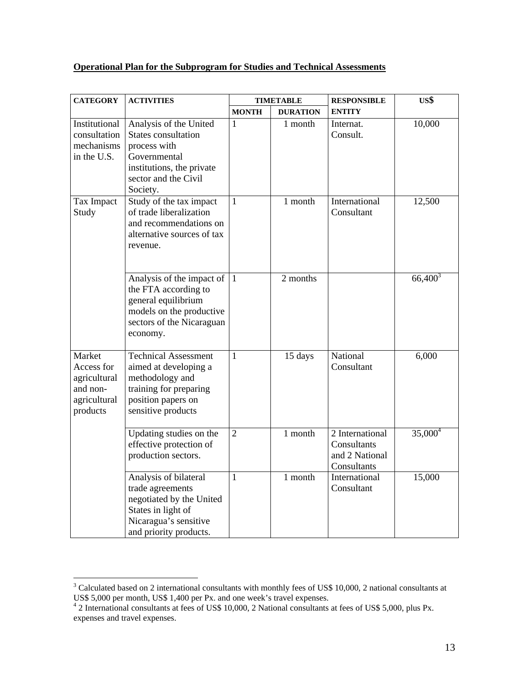## **Operational Plan for the Subprogram for Studies and Technical Assessments**

| <b>CATEGORY</b>                                                              | <b>ACTIVITIES</b>                                                                                                                              | <b>TIMETABLE</b> |                 | <b>RESPONSIBLE</b>                                              | US\$       |
|------------------------------------------------------------------------------|------------------------------------------------------------------------------------------------------------------------------------------------|------------------|-----------------|-----------------------------------------------------------------|------------|
|                                                                              |                                                                                                                                                | <b>MONTH</b>     | <b>DURATION</b> | <b>ENTITY</b>                                                   |            |
| Institutional<br>consultation<br>mechanisms<br>in the U.S.                   | Analysis of the United<br>States consultation<br>process with<br>Governmental<br>institutions, the private<br>sector and the Civil<br>Society. | $\mathbf{1}$     | 1 month         | Internat.<br>Consult.                                           | 10,000     |
| Tax Impact<br>Study                                                          | Study of the tax impact<br>of trade liberalization<br>and recommendations on<br>alternative sources of tax<br>revenue.                         | $\mathbf{1}$     | 1 month         | International<br>Consultant                                     | 12,500     |
|                                                                              | Analysis of the impact of<br>the FTA according to<br>general equilibrium<br>models on the productive<br>sectors of the Nicaraguan<br>economy.  | $\mathbf{1}$     | 2 months        |                                                                 | $66,400^3$ |
| Market<br>Access for<br>agricultural<br>and non-<br>agricultural<br>products | <b>Technical Assessment</b><br>aimed at developing a<br>methodology and<br>training for preparing<br>position papers on<br>sensitive products  | $\mathbf{1}$     | 15 days         | National<br>Consultant                                          | 6,000      |
|                                                                              | Updating studies on the<br>effective protection of<br>production sectors.                                                                      | $\overline{2}$   | 1 month         | 2 International<br>Consultants<br>and 2 National<br>Consultants | $35,000^4$ |
|                                                                              | Analysis of bilateral<br>trade agreements<br>negotiated by the United<br>States in light of<br>Nicaragua's sensitive<br>and priority products. | $\mathbf{1}$     | 1 month         | International<br>Consultant                                     | 15,000     |

<sup>&</sup>lt;sup>3</sup> Calculated based on 2 international consultants with monthly fees of US\$ 10,000, 2 national consultants at

US\$ 5,000 per month, US\$ 1,400 per Px. and one week's travel expenses. 4 2 International consultants at fees of US\$ 10,000, 2 National consultants at fees of US\$ 5,000, plus Px. expenses and travel expenses.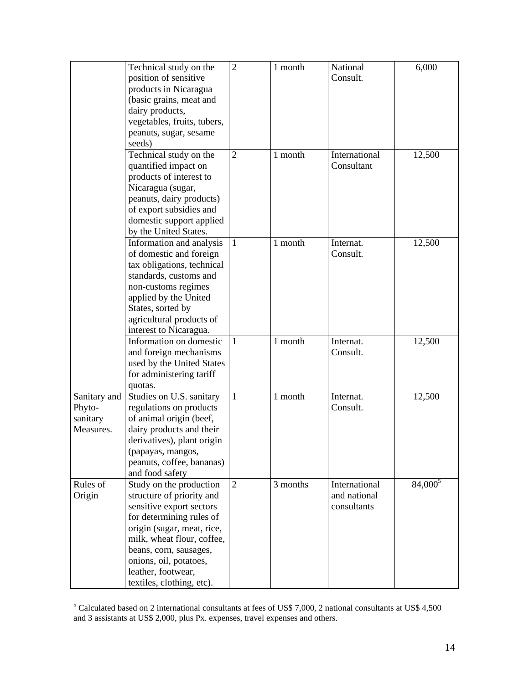|                       | Technical study on the              | $\overline{2}$ | 1 month  | National      | 6,000               |
|-----------------------|-------------------------------------|----------------|----------|---------------|---------------------|
|                       | position of sensitive               |                |          | Consult.      |                     |
|                       | products in Nicaragua               |                |          |               |                     |
|                       | (basic grains, meat and             |                |          |               |                     |
|                       |                                     |                |          |               |                     |
|                       | dairy products,                     |                |          |               |                     |
|                       | vegetables, fruits, tubers,         |                |          |               |                     |
|                       | peanuts, sugar, sesame              |                |          |               |                     |
|                       | seeds)                              |                |          |               |                     |
|                       | Technical study on the              | $\overline{2}$ | 1 month  | International | 12,500              |
|                       | quantified impact on                |                |          | Consultant    |                     |
|                       | products of interest to             |                |          |               |                     |
|                       | Nicaragua (sugar,                   |                |          |               |                     |
|                       | peanuts, dairy products)            |                |          |               |                     |
|                       | of export subsidies and             |                |          |               |                     |
|                       | domestic support applied            |                |          |               |                     |
|                       | by the United States.               |                |          |               |                     |
|                       | Information and analysis            | $\mathbf{1}$   | 1 month  | Internat.     | 12,500              |
|                       | of domestic and foreign             |                |          | Consult.      |                     |
|                       | tax obligations, technical          |                |          |               |                     |
|                       | standards, customs and              |                |          |               |                     |
|                       | non-customs regimes                 |                |          |               |                     |
|                       | applied by the United               |                |          |               |                     |
|                       | States, sorted by                   |                |          |               |                     |
|                       | agricultural products of            |                |          |               |                     |
|                       | interest to Nicaragua.              |                |          |               |                     |
|                       | Information on domestic             | $\mathbf{1}$   | 1 month  | Internat.     | 12,500              |
|                       | and foreign mechanisms              |                |          | Consult.      |                     |
|                       | used by the United States           |                |          |               |                     |
|                       | for administering tariff            |                |          |               |                     |
|                       |                                     |                |          |               |                     |
| Sanitary and          | quotas.<br>Studies on U.S. sanitary | $\mathbf{1}$   | 1 month  | Internat.     | 12,500              |
| Phyto-                |                                     |                |          | Consult.      |                     |
|                       | regulations on products             |                |          |               |                     |
| sanitary<br>Measures. | of animal origin (beef,             |                |          |               |                     |
|                       | dairy products and their            |                |          |               |                     |
|                       | derivatives), plant origin          |                |          |               |                     |
|                       | (papayas, mangos,                   |                |          |               |                     |
|                       | peanuts, coffee, bananas)           |                |          |               |                     |
|                       | and food safety                     |                |          |               |                     |
| Rules of              | Study on the production             | $\overline{2}$ | 3 months | International | 84,000 <sup>5</sup> |
| Origin                | structure of priority and           |                |          | and national  |                     |
|                       | sensitive export sectors            |                |          | consultants   |                     |
|                       | for determining rules of            |                |          |               |                     |
|                       | origin (sugar, meat, rice,          |                |          |               |                     |
|                       | milk, wheat flour, coffee,          |                |          |               |                     |
|                       | beans, corn, sausages,              |                |          |               |                     |
|                       | onions, oil, potatoes,              |                |          |               |                     |
|                       | leather, footwear,                  |                |          |               |                     |
|                       | textiles, clothing, etc).           |                |          |               |                     |

Finds of Calculated based on 2 international consultants at fees of US\$ 7,000, 2 national consultants at US\$ 4,500 and 3 assistants at US\$ 2,000, plus Px. expenses, travel expenses and others.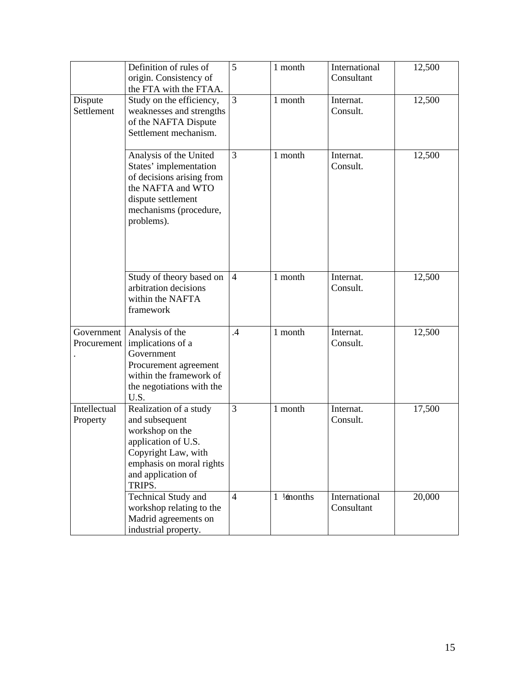|                           | Definition of rules of<br>origin. Consistency of<br>the FTA with the FTAA.                                                                                            | 5              | 1 month                | International<br>Consultant | 12,500 |
|---------------------------|-----------------------------------------------------------------------------------------------------------------------------------------------------------------------|----------------|------------------------|-----------------------------|--------|
| Dispute<br>Settlement     | Study on the efficiency,<br>weaknesses and strengths<br>of the NAFTA Dispute<br>Settlement mechanism.                                                                 | $\overline{3}$ | 1 month                | Internat.<br>Consult.       | 12,500 |
|                           | Analysis of the United<br>States' implementation<br>of decisions arising from<br>the NAFTA and WTO<br>dispute settlement<br>mechanisms (procedure,<br>problems).      | 3              | 1 month                | Internat.<br>Consult.       | 12,500 |
|                           | Study of theory based on<br>arbitration decisions<br>within the NAFTA<br>framework                                                                                    | $\overline{4}$ | 1 month                | Internat.<br>Consult.       | 12,500 |
| Government<br>Procurement | Analysis of the<br>implications of a<br>Government<br>Procurement agreement<br>within the framework of<br>the negotiations with the<br>U.S.                           | $.4\,$         | 1 month                | Internat.<br>Consult.       | 12,500 |
| Intellectual<br>Property  | Realization of a study<br>and subsequent<br>workshop on the<br>application of U.S.<br>Copyright Law, with<br>emphasis on moral rights<br>and application of<br>TRIPS. | 3              | 1 month                | Internat.<br>Consult.       | 17,500 |
|                           | <b>Technical Study and</b><br>workshop relating to the<br>Madrid agreements on<br>industrial property.                                                                | $\overline{4}$ | $1 \frac{1}{2}$ months | International<br>Consultant | 20,000 |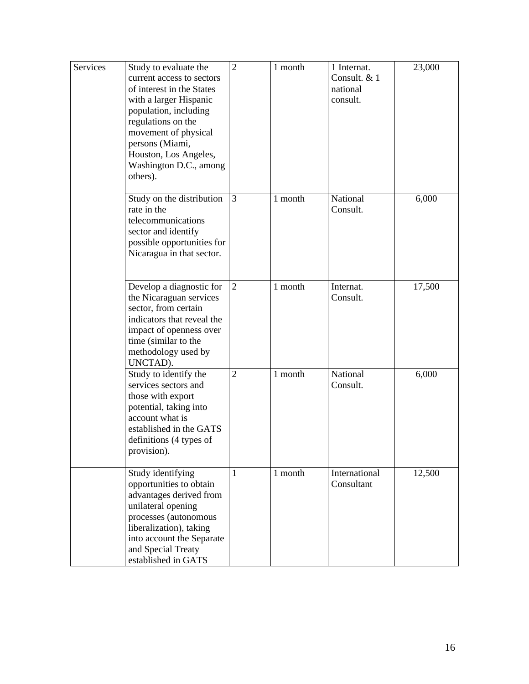| Services | Study to evaluate the<br>current access to sectors<br>of interest in the States<br>with a larger Hispanic<br>population, including<br>regulations on the<br>movement of physical<br>persons (Miami,<br>Houston, Los Angeles,<br>Washington D.C., among<br>others). | $\overline{2}$ | 1 month | 1 Internat.<br>Consult. & 1<br>national<br>consult. | 23,000 |
|----------|--------------------------------------------------------------------------------------------------------------------------------------------------------------------------------------------------------------------------------------------------------------------|----------------|---------|-----------------------------------------------------|--------|
|          | Study on the distribution<br>rate in the<br>telecommunications<br>sector and identify<br>possible opportunities for<br>Nicaragua in that sector.                                                                                                                   | 3              | 1 month | National<br>Consult.                                | 6,000  |
|          | Develop a diagnostic for<br>the Nicaraguan services<br>sector, from certain<br>indicators that reveal the<br>impact of openness over<br>time (similar to the<br>methodology used by<br>UNCTAD).                                                                    | $\overline{2}$ | 1 month | Internat.<br>Consult.                               | 17,500 |
|          | Study to identify the<br>services sectors and<br>those with export<br>potential, taking into<br>account what is<br>established in the GATS<br>definitions (4 types of<br>provision).                                                                               | $\overline{2}$ | 1 month | National<br>Consult.                                | 6,000  |
|          | Study identifying<br>opportunities to obtain<br>advantages derived from<br>unilateral opening<br>processes (autonomous<br>liberalization), taking<br>into account the Separate<br>and Special Treaty<br>established in GATS                                        | $\mathbf{1}$   | 1 month | International<br>Consultant                         | 12,500 |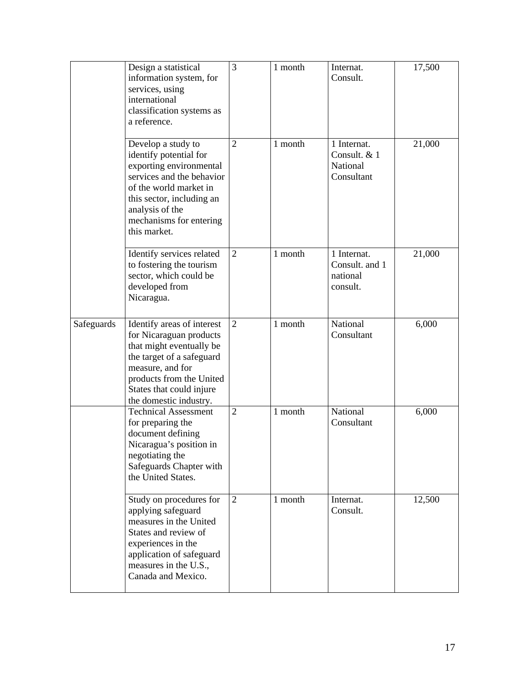|            | Design a statistical<br>information system, for<br>services, using<br>international<br>classification systems as<br>a reference.                                                                                          | 3              | 1 month | Internat.<br>Consult.                                 | 17,500 |
|------------|---------------------------------------------------------------------------------------------------------------------------------------------------------------------------------------------------------------------------|----------------|---------|-------------------------------------------------------|--------|
|            | Develop a study to<br>identify potential for<br>exporting environmental<br>services and the behavior<br>of the world market in<br>this sector, including an<br>analysis of the<br>mechanisms for entering<br>this market. | $\overline{2}$ | 1 month | 1 Internat.<br>Consult. & 1<br>National<br>Consultant | 21,000 |
|            | Identify services related<br>to fostering the tourism<br>sector, which could be<br>developed from<br>Nicaragua.                                                                                                           | $\overline{2}$ | 1 month | 1 Internat.<br>Consult. and 1<br>national<br>consult. | 21,000 |
| Safeguards | Identify areas of interest<br>for Nicaraguan products<br>that might eventually be<br>the target of a safeguard<br>measure, and for<br>products from the United<br>States that could injure<br>the domestic industry.      | $\overline{2}$ | 1 month | <b>National</b><br>Consultant                         | 6,000  |
|            | <b>Technical Assessment</b><br>for preparing the<br>document defining<br>Nicaragua's position in<br>negotiating the<br>Safeguards Chapter with<br>the United States.                                                      | $\overline{2}$ | 1 month | National<br>Consultant                                | 6,000  |
|            | Study on procedures for<br>applying safeguard<br>measures in the United<br>States and review of<br>experiences in the<br>application of safeguard<br>measures in the U.S.,<br>Canada and Mexico.                          | $\overline{2}$ | 1 month | Internat.<br>Consult.                                 | 12,500 |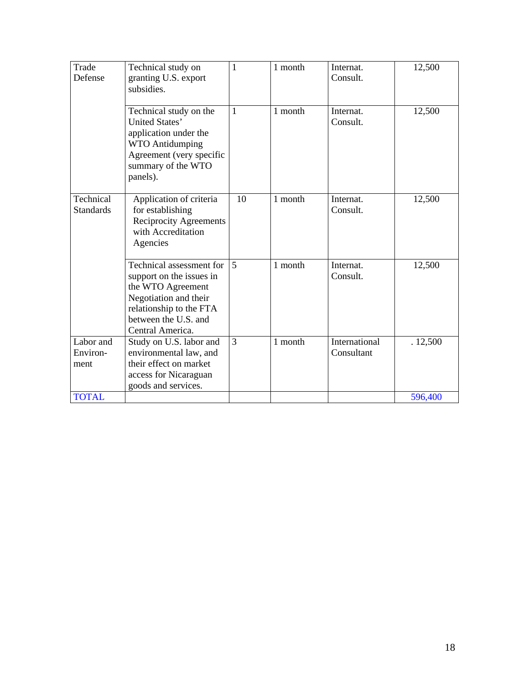| Trade<br>Defense              | Technical study on<br>granting U.S. export<br>subsidies.                                                                                                                  | $\mathbf{1}$   | 1 month | Internat.<br>Consult.       | 12,500  |
|-------------------------------|---------------------------------------------------------------------------------------------------------------------------------------------------------------------------|----------------|---------|-----------------------------|---------|
|                               | Technical study on the<br>United States'<br>application under the<br><b>WTO Antidumping</b><br>Agreement (very specific<br>summary of the WTO<br>panels).                 | $\mathbf{1}$   | 1 month | Internat.<br>Consult.       | 12,500  |
| Technical<br><b>Standards</b> | Application of criteria<br>for establishing<br><b>Reciprocity Agreements</b><br>with Accreditation<br>Agencies                                                            | 10             | 1 month | Internat.<br>Consult.       | 12,500  |
|                               | Technical assessment for<br>support on the issues in<br>the WTO Agreement<br>Negotiation and their<br>relationship to the FTA<br>between the U.S. and<br>Central America. | $\overline{5}$ | 1 month | Internat.<br>Consult.       | 12,500  |
| Labor and<br>Environ-<br>ment | Study on U.S. labor and<br>environmental law, and<br>their effect on market<br>access for Nicaraguan<br>goods and services.                                               | 3              | 1 month | International<br>Consultant | .12,500 |
| <b>TOTAL</b>                  |                                                                                                                                                                           |                |         |                             | 596,400 |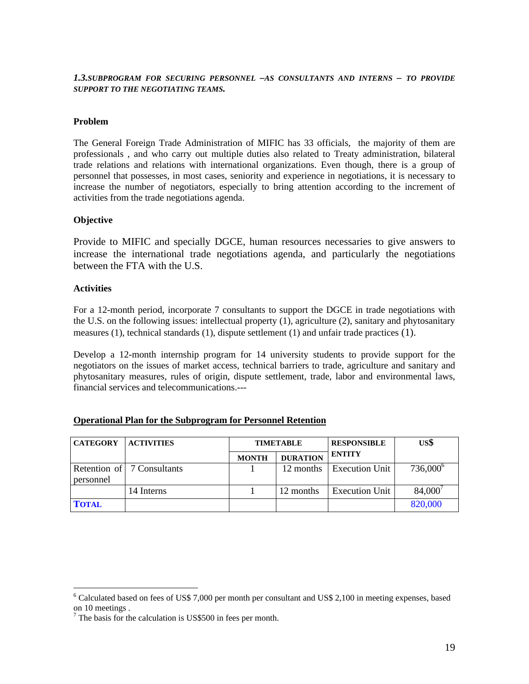*1.3.SUBPROGRAM FOR SECURING PERSONNEL –AS CONSULTANTS AND INTERNS – TO PROVIDE SUPPORT TO THE NEGOTIATING TEAMS.*

#### **Problem**

The General Foreign Trade Administration of MIFIC has 33 officials, the majority of them are professionals , and who carry out multiple duties also related to Treaty administration, bilateral trade relations and relations with international organizations. Even though, there is a group of personnel that possesses, in most cases, seniority and experience in negotiations, it is necessary to increase the number of negotiators, especially to bring attention according to the increment of activities from the trade negotiations agenda.

#### **Objective**

Provide to MIFIC and specially DGCE, human resources necessaries to give answers to increase the international trade negotiations agenda, and particularly the negotiations between the FTA with the U.S.

#### **Activities**

<u>.</u>

For a 12-month period, incorporate 7 consultants to support the DGCE in trade negotiations with the U.S. on the following issues: intellectual property (1), agriculture (2), sanitary and phytosanitary measures (1), technical standards (1), dispute settlement (1) and unfair trade practices (1).

Develop a 12-month internship program for 14 university students to provide support for the negotiators on the issues of market access, technical barriers to trade, agriculture and sanitary and phytosanitary measures, rules of origin, dispute settlement, trade, labor and environmental laws, financial services and telecommunications.---

| <b>CATEGORY</b> | <b>ACTIVITIES</b>            | <b>TIMETABLE</b> |                 | <b>RESPONSIBLE</b>    | US\$                 |
|-----------------|------------------------------|------------------|-----------------|-----------------------|----------------------|
|                 |                              | <b>MONTH</b>     | <b>DURATION</b> | <b>ENTITY</b>         |                      |
| personnel       | Retention of   7 Consultants |                  | 12 months       | <b>Execution Unit</b> | 736,000 <sup>6</sup> |
|                 | 14 Interns                   |                  | 12 months       | <b>Execution Unit</b> | 84,000               |
| <b>TOTAL</b>    |                              |                  |                 |                       | 820,000              |

|  |  | <b>Operational Plan for the Subprogram for Personnel Retention</b> |  |  |
|--|--|--------------------------------------------------------------------|--|--|
|  |  |                                                                    |  |  |

<sup>&</sup>lt;sup>6</sup> Calculated based on fees of US\$ 7,000 per month per consultant and US\$ 2,100 in meeting expenses, based on 10 meetings .

 $7$  The basis for the calculation is US\$500 in fees per month.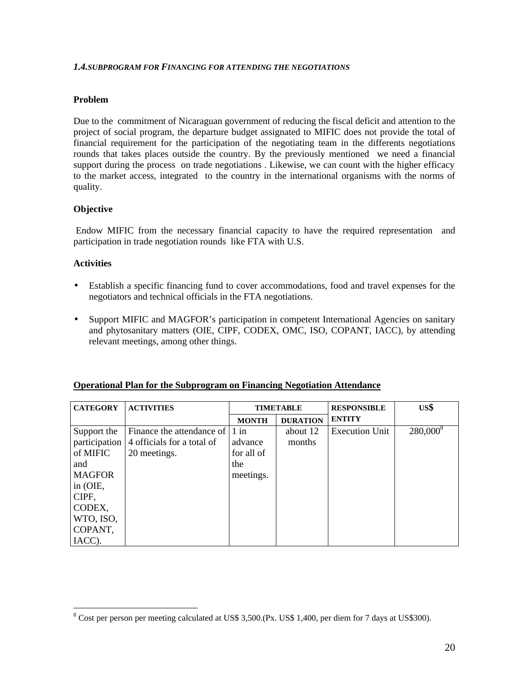#### *1.4.SUBPROGRAM FOR FINANCING FOR ATTENDING THE NEGOTIATIONS*

## **Problem**

Due to the commitment of Nicaraguan government of reducing the fiscal deficit and attention to the project of social program, the departure budget assignated to MIFIC does not provide the total of financial requirement for the participation of the negotiating team in the differents negotiations rounds that takes places outside the country. By the previously mentioned we need a financial support during the process on trade negotiations . Likewise, we can count with the higher efficacy to the market access, integrated to the country in the international organisms with the norms of quality.

## **Objective**

 Endow MIFIC from the necessary financial capacity to have the required representation and participation in trade negotiation rounds like FTA with U.S.

## **Activities**

- Establish a specific financing fund to cover accommodations, food and travel expenses for the negotiators and technical officials in the FTA negotiations.
- Support MIFIC and MAGFOR's participation in competent International Agencies on sanitary and phytosanitary matters (OIE, CIPF, CODEX, OMC, ISO, COPANT, IACC), by attending relevant meetings, among other things.

| <b>CATEGORY</b> | <b>ACTIVITIES</b>                 |              | <b>TIMETABLE</b> | <b>RESPONSIBLE</b>    | US\$                 |
|-----------------|-----------------------------------|--------------|------------------|-----------------------|----------------------|
|                 |                                   | <b>MONTH</b> | <b>DURATION</b>  | <b>ENTITY</b>         |                      |
| Support the     | Finance the attendance of $ 1$ in |              | about 12         | <b>Execution Unit</b> | 280,000 <sup>8</sup> |
| participation   | 4 officials for a total of        | advance      | months           |                       |                      |
| of MIFIC        | 20 meetings.                      | for all of   |                  |                       |                      |
| and             |                                   | the          |                  |                       |                      |
| <b>MAGFOR</b>   |                                   | meetings.    |                  |                       |                      |
| in (OIE,        |                                   |              |                  |                       |                      |
| CIPF,           |                                   |              |                  |                       |                      |
| CODEX,          |                                   |              |                  |                       |                      |
| WTO, ISO,       |                                   |              |                  |                       |                      |
| COPANT,         |                                   |              |                  |                       |                      |
| IACC).          |                                   |              |                  |                       |                      |

#### **Operational Plan for the Subprogram on Financing Negotiation Attendance**

<sup>&</sup>lt;u>.</u> <sup>8</sup> Cost per person per meeting calculated at US\$ 3,500.(Px. US\$ 1,400, per diem for 7 days at US\$300).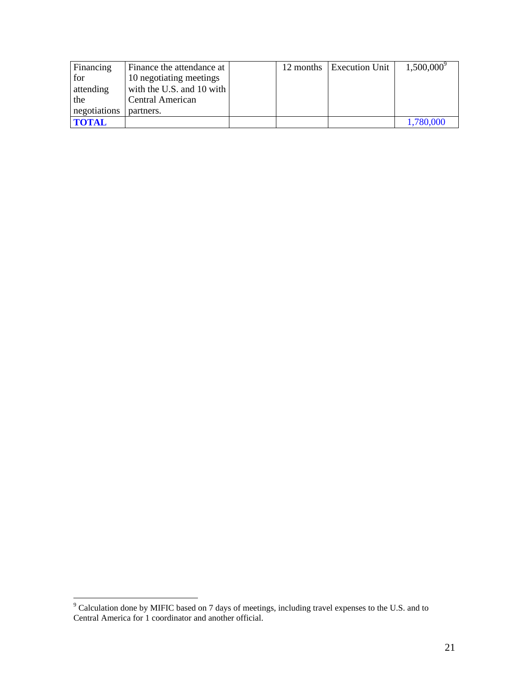| Financing    | Finance the attendance at   |  | 12 months Execution Unit | $1,500,000^9$ |
|--------------|-----------------------------|--|--------------------------|---------------|
| for          | 10 negotiating meetings     |  |                          |               |
| attending    | with the U.S. and $10$ with |  |                          |               |
| the          | Central American            |  |                          |               |
| negotiations | partners.                   |  |                          |               |
| <b>TOTAL</b> |                             |  |                          | 1,780,000     |

The Calculation done by MIFIC based on 7 days of meetings, including travel expenses to the U.S. and to Central America for 1 coordinator and another official.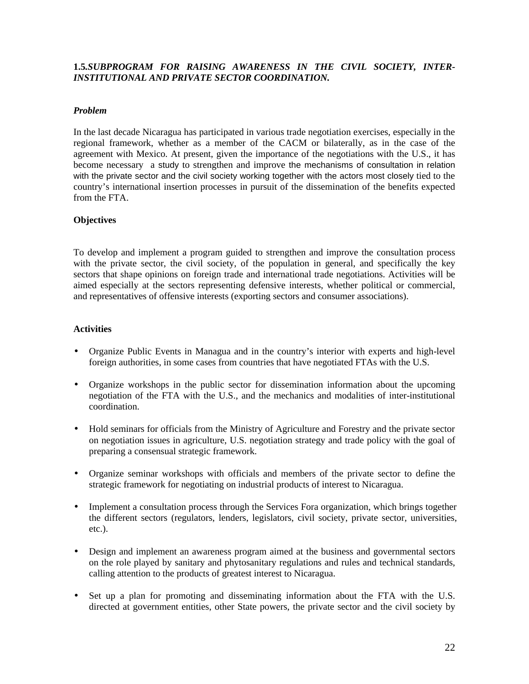## **1.5***.SUBPROGRAM FOR RAISING AWARENESS IN THE CIVIL SOCIETY, INTER-INSTITUTIONAL AND PRIVATE SECTOR COORDINATION.*

#### *Problem*

In the last decade Nicaragua has participated in various trade negotiation exercises, especially in the regional framework, whether as a member of the CACM or bilaterally, as in the case of the agreement with Mexico. At present, given the importance of the negotiations with the U.S., it has become necessary a study to strengthen and improve the mechanisms of consultation in relation with the private sector and the civil society working together with the actors most closely tied to the country's international insertion processes in pursuit of the dissemination of the benefits expected from the FTA.

#### **Objectives**

To develop and implement a program guided to strengthen and improve the consultation process with the private sector, the civil society, of the population in general, and specifically the key sectors that shape opinions on foreign trade and international trade negotiations. Activities will be aimed especially at the sectors representing defensive interests, whether political or commercial, and representatives of offensive interests (exporting sectors and consumer associations).

- Organize Public Events in Managua and in the country's interior with experts and high-level foreign authorities, in some cases from countries that have negotiated FTAs with the U.S.
- Organize workshops in the public sector for dissemination information about the upcoming negotiation of the FTA with the U.S., and the mechanics and modalities of inter-institutional coordination.
- Hold seminars for officials from the Ministry of Agriculture and Forestry and the private sector on negotiation issues in agriculture, U.S. negotiation strategy and trade policy with the goal of preparing a consensual strategic framework.
- Organize seminar workshops with officials and members of the private sector to define the strategic framework for negotiating on industrial products of interest to Nicaragua.
- Implement a consultation process through the Services Fora organization, which brings together the different sectors (regulators, lenders, legislators, civil society, private sector, universities, etc.).
- Design and implement an awareness program aimed at the business and governmental sectors on the role played by sanitary and phytosanitary regulations and rules and technical standards, calling attention to the products of greatest interest to Nicaragua.
- Set up a plan for promoting and disseminating information about the FTA with the U.S. directed at government entities, other State powers, the private sector and the civil society by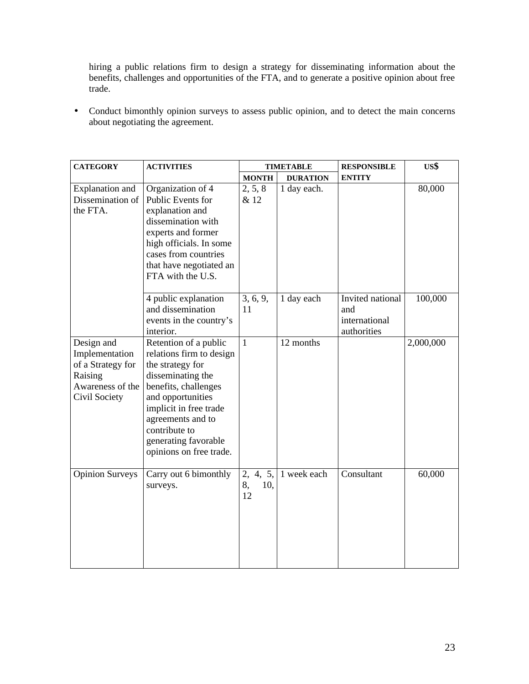hiring a public relations firm to design a strategy for disseminating information about the benefits, challenges and opportunities of the FTA, and to generate a positive opinion about free trade.

• Conduct bimonthly opinion surveys to assess public opinion, and to detect the main concerns about negotiating the agreement.

| <b>CATEGORY</b>                                                                                   | <b>ACTIVITIES</b>                                                                                                                                                                                                                                          |                                | <b>TIMETABLE</b> | <b>RESPONSIBLE</b>                                      | US\$      |
|---------------------------------------------------------------------------------------------------|------------------------------------------------------------------------------------------------------------------------------------------------------------------------------------------------------------------------------------------------------------|--------------------------------|------------------|---------------------------------------------------------|-----------|
|                                                                                                   |                                                                                                                                                                                                                                                            | <b>MONTH</b>                   | <b>DURATION</b>  | <b>ENTITY</b>                                           |           |
| Explanation and<br>Dissemination of<br>the FTA.                                                   | Organization of 4<br>Public Events for<br>explanation and<br>dissemination with<br>experts and former<br>high officials. In some<br>cases from countries<br>that have negotiated an<br>FTA with the U.S.                                                   | 2, 5, 8<br>& 12                | 1 day each.      |                                                         | 80,000    |
|                                                                                                   | 4 public explanation<br>and dissemination<br>events in the country's<br>interior.                                                                                                                                                                          | 3, 6, 9,<br>11                 | 1 day each       | Invited national<br>and<br>international<br>authorities | 100,000   |
| Design and<br>Implementation<br>of a Strategy for<br>Raising<br>Awareness of the<br>Civil Society | Retention of a public<br>relations firm to design<br>the strategy for<br>disseminating the<br>benefits, challenges<br>and opportunities<br>implicit in free trade<br>agreements and to<br>contribute to<br>generating favorable<br>opinions on free trade. | $\mathbf{1}$                   | 12 months        |                                                         | 2,000,000 |
| <b>Opinion Surveys</b>                                                                            | Carry out 6 bimonthly<br>surveys.                                                                                                                                                                                                                          | 4, 5,<br>2,<br>8,<br>10,<br>12 | 1 week each      | Consultant                                              | 60,000    |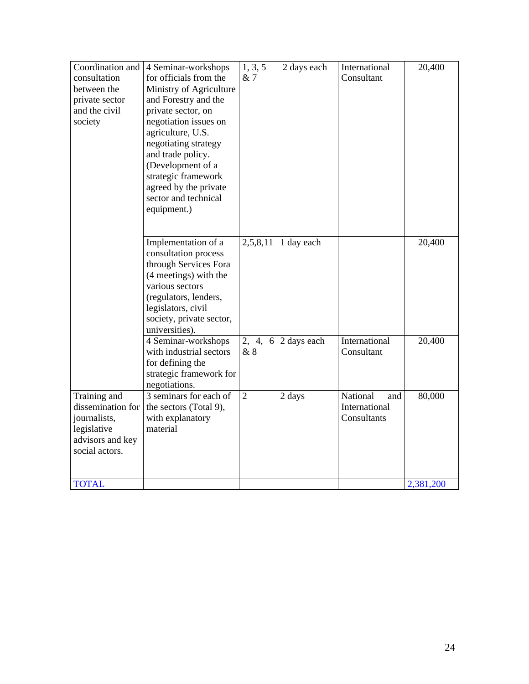| Coordination and<br>consultation<br>between the<br>private sector<br>and the civil<br>society          | 4 Seminar-workshops<br>for officials from the<br>Ministry of Agriculture<br>and Forestry and the<br>private sector, on<br>negotiation issues on<br>agriculture, U.S.<br>negotiating strategy<br>and trade policy.<br>(Development of a<br>strategic framework<br>agreed by the private<br>sector and technical<br>equipment.) | 1, 3, 5<br>& 7 | 2 days each | International<br>Consultant                     | 20,400    |
|--------------------------------------------------------------------------------------------------------|-------------------------------------------------------------------------------------------------------------------------------------------------------------------------------------------------------------------------------------------------------------------------------------------------------------------------------|----------------|-------------|-------------------------------------------------|-----------|
|                                                                                                        | Implementation of a<br>consultation process<br>through Services Fora<br>(4 meetings) with the<br>various sectors<br>(regulators, lenders,<br>legislators, civil<br>society, private sector,<br>universities).                                                                                                                 | 2,5,8,11       | 1 day each  |                                                 | 20,400    |
|                                                                                                        | 4 Seminar-workshops<br>with industrial sectors<br>for defining the<br>strategic framework for<br>negotiations.                                                                                                                                                                                                                | 2, 4, 6<br>&8  | 2 days each | International<br>Consultant                     | 20,400    |
| Training and<br>dissemination for<br>journalists,<br>legislative<br>advisors and key<br>social actors. | 3 seminars for each of<br>the sectors (Total 9),<br>with explanatory<br>material                                                                                                                                                                                                                                              | $\overline{2}$ | 2 days      | National<br>and<br>International<br>Consultants | 80,000    |
| <b>TOTAL</b>                                                                                           |                                                                                                                                                                                                                                                                                                                               |                |             |                                                 | 2,381,200 |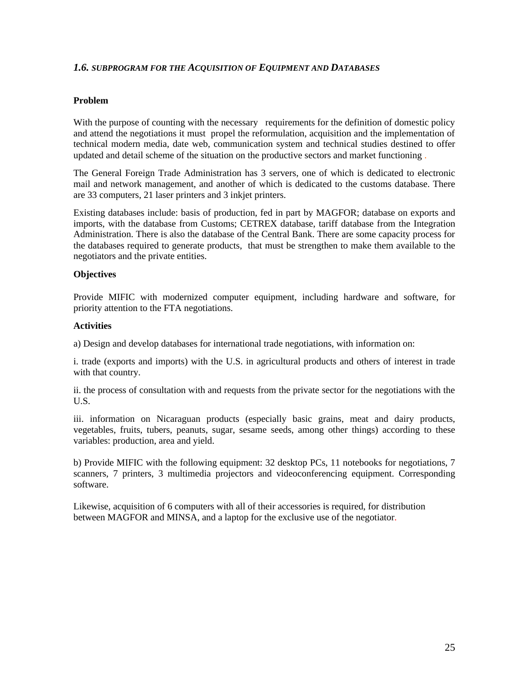## *1.6. SUBPROGRAM FOR THE ACQUISITION OF EQUIPMENT AND DATABASES*

#### **Problem**

With the purpose of counting with the necessary requirements for the definition of domestic policy and attend the negotiations it must propel the reformulation, acquisition and the implementation of technical modern media, date web, communication system and technical studies destined to offer updated and detail scheme of the situation on the productive sectors and market functioning .

The General Foreign Trade Administration has 3 servers, one of which is dedicated to electronic mail and network management, and another of which is dedicated to the customs database. There are 33 computers, 21 laser printers and 3 inkjet printers.

Existing databases include: basis of production, fed in part by MAGFOR; database on exports and imports, with the database from Customs; CETREX database, tariff database from the Integration Administration. There is also the database of the Central Bank. There are some capacity process for the databases required to generate products, that must be strengthen to make them available to the negotiators and the private entities.

#### **Objectives**

Provide MIFIC with modernized computer equipment, including hardware and software, for priority attention to the FTA negotiations.

#### **Activities**

a) Design and develop databases for international trade negotiations, with information on:

i. trade (exports and imports) with the U.S. in agricultural products and others of interest in trade with that country.

ii. the process of consultation with and requests from the private sector for the negotiations with the U.S.

iii. information on Nicaraguan products (especially basic grains, meat and dairy products, vegetables, fruits, tubers, peanuts, sugar, sesame seeds, among other things) according to these variables: production, area and yield.

b) Provide MIFIC with the following equipment: 32 desktop PCs, 11 notebooks for negotiations, 7 scanners, 7 printers, 3 multimedia projectors and videoconferencing equipment. Corresponding software.

Likewise, acquisition of 6 computers with all of their accessories is required, for distribution between MAGFOR and MINSA, and a laptop for the exclusive use of the negotiator.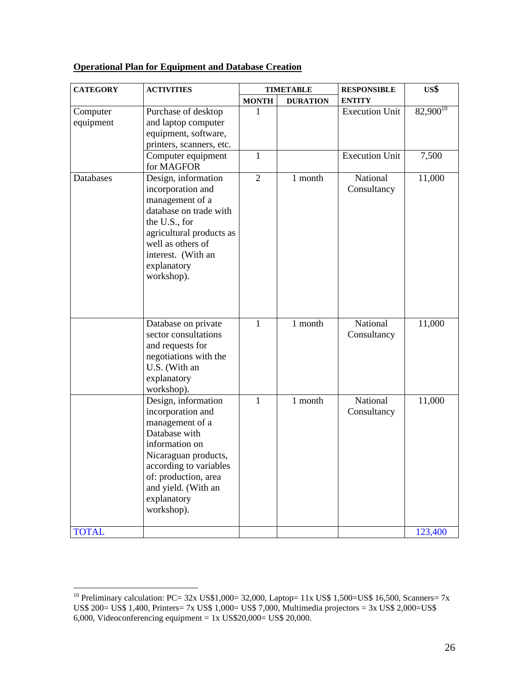| <b>Operational Plan for Equipment and Database Creation</b> |
|-------------------------------------------------------------|
|-------------------------------------------------------------|

| <b>CATEGORY</b>       | <b>ACTIVITIES</b>                                                                                                                                                                                                            |                | <b>TIMETABLE</b> | <b>RESPONSIBLE</b>      | US\$          |
|-----------------------|------------------------------------------------------------------------------------------------------------------------------------------------------------------------------------------------------------------------------|----------------|------------------|-------------------------|---------------|
|                       |                                                                                                                                                                                                                              | <b>MONTH</b>   | <b>DURATION</b>  | <b>ENTITY</b>           |               |
| Computer<br>equipment | Purchase of desktop<br>and laptop computer<br>equipment, software,<br>printers, scanners, etc.                                                                                                                               | 1              |                  | <b>Execution Unit</b>   | $82,900^{10}$ |
|                       | Computer equipment<br>for MAGFOR                                                                                                                                                                                             | $\mathbf{1}$   |                  | <b>Execution Unit</b>   | 7,500         |
| Databases             | Design, information<br>incorporation and<br>management of a<br>database on trade with<br>the U.S., for<br>agricultural products as<br>well as others of<br>interest. (With an<br>explanatory<br>workshop).                   | $\overline{2}$ | 1 month          | National<br>Consultancy | 11,000        |
|                       | Database on private<br>sector consultations<br>and requests for<br>negotiations with the<br>U.S. (With an<br>explanatory<br>workshop).                                                                                       | $\mathbf{1}$   | 1 month          | National<br>Consultancy | 11,000        |
|                       | Design, information<br>incorporation and<br>management of a<br>Database with<br>information on<br>Nicaraguan products,<br>according to variables<br>of: production, area<br>and yield. (With an<br>explanatory<br>workshop). | $\mathbf{1}$   | 1 month          | National<br>Consultancy | 11,000        |
| <b>TOTAL</b>          |                                                                                                                                                                                                                              |                |                  |                         | 123,400       |

<sup>&</sup>lt;sup>10</sup> Preliminary calculation: PC=  $32x$  US\$1,000=  $32,000$ , Laptop=  $11x$  US\$ 1,500=US\$ 16,500, Scanners= 7x US\$ 200= US\$ 1,400, Printers= 7x US\$ 1,000= US\$ 7,000, Multimedia projectors = 3x US\$ 2,000=US\$ 6,000, Videoconferencing equipment =  $1x$  US\$20,000= US\$ 20,000.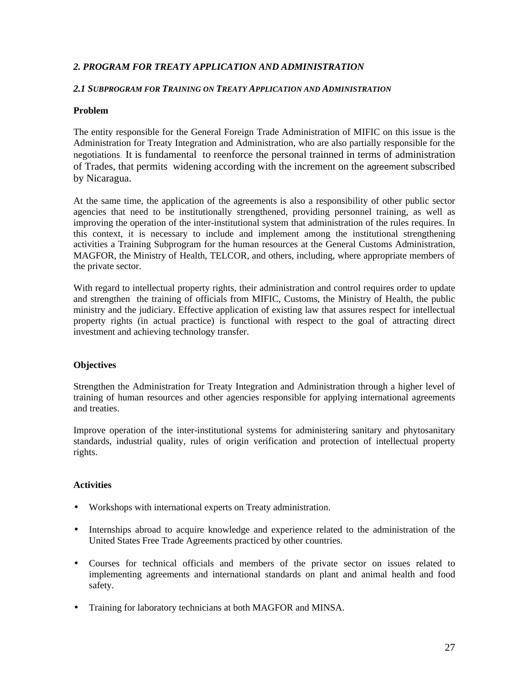## *2. PROGRAM FOR TREATY APPLICATION AND ADMINISTRATION*

#### *2.1 SUBPROGRAM FOR TRAINING ON TREATY APPLICATION AND ADMINISTRATION*

#### **Problem**

The entity responsible for the General Foreign Trade Administration of MIFIC on this issue is the Administration for Treaty Integration and Administration, who are also partially responsible for the negotiations. It is fundamental to reenforce the personal trainned in terms of administration of Trades, that permits widening according with the increment on the agreement subscribed by Nicaragua.

At the same time, the application of the agreements is also a responsibility of other public sector agencies that need to be institutionally strengthened, providing personnel training, as well as improving the operation of the inter-institutional system that administration of the rules requires. In this context, it is necessary to include and implement among the institutional strengthening activities a Training Subprogram for the human resources at the General Customs Administration, MAGFOR, the Ministry of Health, TELCOR, and others, including, where appropriate members of the private sector.

With regard to intellectual property rights, their administration and control requires order to update and strengthen the training of officials from MIFIC, Customs, the Ministry of Health, the public ministry and the judiciary. Effective application of existing law that assures respect for intellectual property rights (in actual practice) is functional with respect to the goal of attracting direct investment and achieving technology transfer.

#### **Objectives**

Strengthen the Administration for Treaty Integration and Administration through a higher level of training of human resources and other agencies responsible for applying international agreements and treaties.

Improve operation of the inter-institutional systems for administering sanitary and phytosanitary standards, industrial quality, rules of origin verification and protection of intellectual property rights.

- Workshops with international experts on Treaty administration.
- Internships abroad to acquire knowledge and experience related to the administration of the United States Free Trade Agreements practiced by other countries.
- Courses for technical officials and members of the private sector on issues related to implementing agreements and international standards on plant and animal health and food safety.
- Training for laboratory technicians at both MAGFOR and MINSA.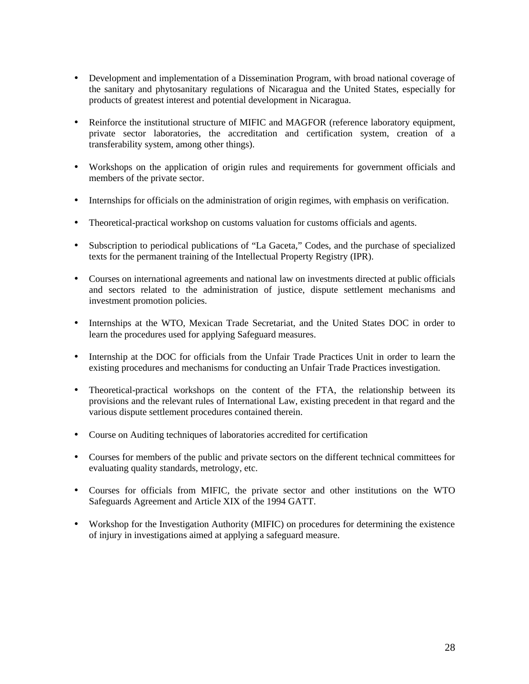- Development and implementation of a Dissemination Program, with broad national coverage of the sanitary and phytosanitary regulations of Nicaragua and the United States, especially for products of greatest interest and potential development in Nicaragua.
- Reinforce the institutional structure of MIFIC and MAGFOR (reference laboratory equipment, private sector laboratories, the accreditation and certification system, creation of a transferability system, among other things).
- Workshops on the application of origin rules and requirements for government officials and members of the private sector.
- Internships for officials on the administration of origin regimes, with emphasis on verification.
- Theoretical-practical workshop on customs valuation for customs officials and agents.
- Subscription to periodical publications of "La Gaceta," Codes, and the purchase of specialized texts for the permanent training of the Intellectual Property Registry (IPR).
- Courses on international agreements and national law on investments directed at public officials and sectors related to the administration of justice, dispute settlement mechanisms and investment promotion policies.
- Internships at the WTO, Mexican Trade Secretariat, and the United States DOC in order to learn the procedures used for applying Safeguard measures.
- Internship at the DOC for officials from the Unfair Trade Practices Unit in order to learn the existing procedures and mechanisms for conducting an Unfair Trade Practices investigation.
- Theoretical-practical workshops on the content of the FTA, the relationship between its provisions and the relevant rules of International Law, existing precedent in that regard and the various dispute settlement procedures contained therein.
- Course on Auditing techniques of laboratories accredited for certification
- Courses for members of the public and private sectors on the different technical committees for evaluating quality standards, metrology, etc.
- Courses for officials from MIFIC, the private sector and other institutions on the WTO Safeguards Agreement and Article XIX of the 1994 GATT.
- Workshop for the Investigation Authority (MIFIC) on procedures for determining the existence of injury in investigations aimed at applying a safeguard measure.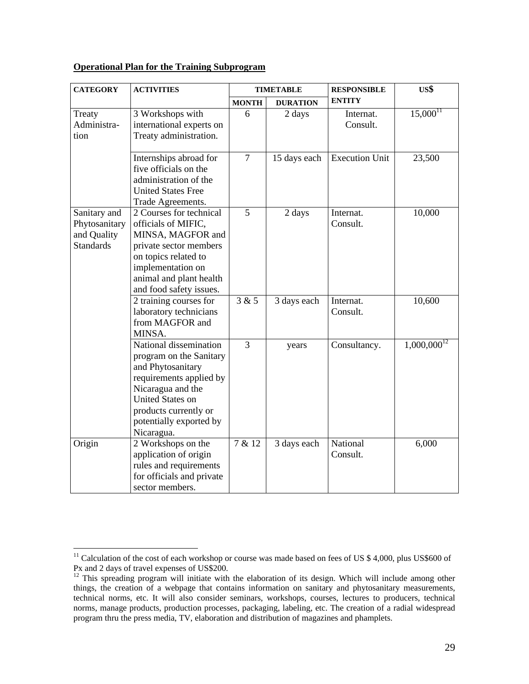## **Operational Plan for the Training Subprogram**

| <b>CATEGORY</b>  | <b>ACTIVITIES</b>                            | <b>TIMETABLE</b> |                 | <b>RESPONSIBLE</b>    | US\$             |
|------------------|----------------------------------------------|------------------|-----------------|-----------------------|------------------|
|                  |                                              | <b>MONTH</b>     | <b>DURATION</b> | <b>ENTITY</b>         |                  |
| Treaty           | 3 Workshops with                             | 6                | 2 days          | Internat.             | $15,000^{11}$    |
| Administra-      | international experts on                     |                  |                 | Consult.              |                  |
| tion             | Treaty administration.                       |                  |                 |                       |                  |
|                  |                                              |                  |                 |                       |                  |
|                  | Internships abroad for                       | $\overline{7}$   | 15 days each    | <b>Execution Unit</b> | 23,500           |
|                  | five officials on the                        |                  |                 |                       |                  |
|                  | administration of the                        |                  |                 |                       |                  |
|                  | <b>United States Free</b>                    |                  |                 |                       |                  |
|                  | Trade Agreements.                            |                  |                 |                       |                  |
| Sanitary and     | 2 Courses for technical                      | 5                | 2 days          | Internat.             | 10,000           |
| Phytosanitary    | officials of MIFIC,                          |                  |                 | Consult.              |                  |
| and Quality      | MINSA, MAGFOR and                            |                  |                 |                       |                  |
| <b>Standards</b> | private sector members                       |                  |                 |                       |                  |
|                  | on topics related to                         |                  |                 |                       |                  |
|                  | implementation on                            |                  |                 |                       |                  |
|                  | animal and plant health                      |                  |                 |                       |                  |
|                  | and food safety issues.                      |                  |                 |                       |                  |
|                  | 2 training courses for                       | 3 & 5            | 3 days each     | Internat.             | 10,600           |
|                  | laboratory technicians<br>from MAGFOR and    |                  |                 | Consult.              |                  |
|                  |                                              |                  |                 |                       |                  |
|                  | MINSA.                                       | 3                |                 |                       |                  |
|                  | National dissemination                       |                  | years           | Consultancy.          | $1,000,000^{12}$ |
|                  | program on the Sanitary                      |                  |                 |                       |                  |
|                  | and Phytosanitary                            |                  |                 |                       |                  |
|                  | requirements applied by<br>Nicaragua and the |                  |                 |                       |                  |
|                  | <b>United States on</b>                      |                  |                 |                       |                  |
|                  | products currently or                        |                  |                 |                       |                  |
|                  | potentially exported by                      |                  |                 |                       |                  |
|                  |                                              |                  |                 |                       |                  |
| Origin           | Nicaragua.<br>2 Workshops on the             | 7 & 12           | 3 days each     | National              | 6,000            |
|                  | application of origin                        |                  |                 | Consult.              |                  |
|                  | rules and requirements                       |                  |                 |                       |                  |
|                  | for officials and private                    |                  |                 |                       |                  |
|                  | sector members.                              |                  |                 |                       |                  |
|                  |                                              |                  |                 |                       |                  |

 $11$  Calculation of the cost of each workshop or course was made based on fees of US \$ 4,000, plus US\$600 of Px and 2 days of travel expenses of US\$200.

 $12$  This spreading program will initiate with the elaboration of its design. Which will include among other things, the creation of a webpage that contains information on sanitary and phytosanitary measurements, technical norms, etc. It will also consider seminars, workshops, courses, lectures to producers, technical norms, manage products, production processes, packaging, labeling, etc. The creation of a radial widespread program thru the press media, TV, elaboration and distribution of magazines and phamplets.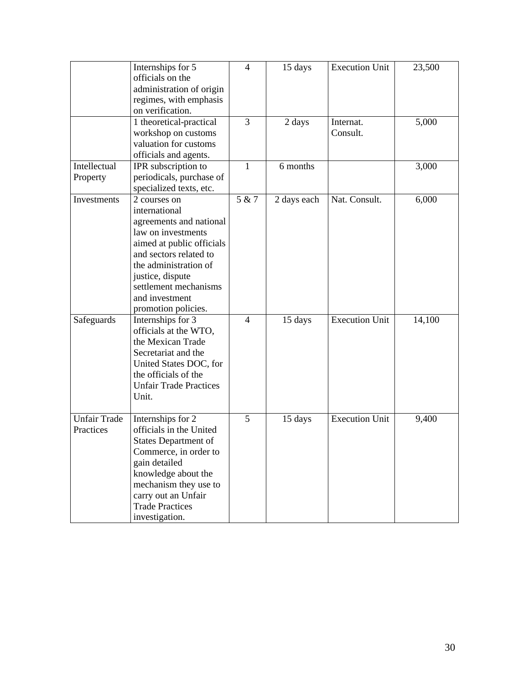|                     | Internships for 5             | $\overline{4}$ | 15 days     | <b>Execution Unit</b> | 23,500 |
|---------------------|-------------------------------|----------------|-------------|-----------------------|--------|
|                     | officials on the              |                |             |                       |        |
|                     | administration of origin      |                |             |                       |        |
|                     | regimes, with emphasis        |                |             |                       |        |
|                     | on verification.              |                |             |                       |        |
|                     | 1 theoretical-practical       | 3              | 2 days      | Internat.             | 5,000  |
|                     | workshop on customs           |                |             | Consult.              |        |
|                     | valuation for customs         |                |             |                       |        |
|                     | officials and agents.         |                |             |                       |        |
| Intellectual        | IPR subscription to           | $\mathbf{1}$   | 6 months    |                       | 3,000  |
| Property            | periodicals, purchase of      |                |             |                       |        |
|                     | specialized texts, etc.       |                |             |                       |        |
| Investments         | 2 courses on                  | 5 & 7          | 2 days each | Nat. Consult.         | 6,000  |
|                     | international                 |                |             |                       |        |
|                     | agreements and national       |                |             |                       |        |
|                     | law on investments            |                |             |                       |        |
|                     | aimed at public officials     |                |             |                       |        |
|                     | and sectors related to        |                |             |                       |        |
|                     | the administration of         |                |             |                       |        |
|                     | justice, dispute              |                |             |                       |        |
|                     | settlement mechanisms         |                |             |                       |        |
|                     | and investment                |                |             |                       |        |
|                     | promotion policies.           |                |             |                       |        |
| Safeguards          | Internships for 3             | $\overline{4}$ | 15 days     | <b>Execution Unit</b> | 14,100 |
|                     | officials at the WTO,         |                |             |                       |        |
|                     | the Mexican Trade             |                |             |                       |        |
|                     | Secretariat and the           |                |             |                       |        |
|                     | United States DOC, for        |                |             |                       |        |
|                     | the officials of the          |                |             |                       |        |
|                     | <b>Unfair Trade Practices</b> |                |             |                       |        |
|                     | Unit.                         |                |             |                       |        |
|                     |                               |                |             |                       |        |
| <b>Unfair Trade</b> | Internships for 2             | 5              | 15 days     | <b>Execution Unit</b> | 9,400  |
| Practices           | officials in the United       |                |             |                       |        |
|                     | <b>States Department of</b>   |                |             |                       |        |
|                     | Commerce, in order to         |                |             |                       |        |
|                     | gain detailed                 |                |             |                       |        |
|                     | knowledge about the           |                |             |                       |        |
|                     | mechanism they use to         |                |             |                       |        |
|                     | carry out an Unfair           |                |             |                       |        |
|                     | <b>Trade Practices</b>        |                |             |                       |        |
|                     | investigation.                |                |             |                       |        |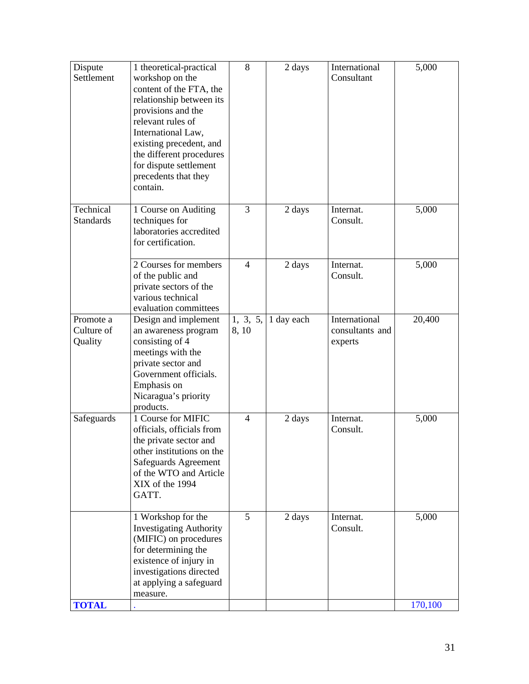| Dispute<br>Settlement              | 1 theoretical-practical<br>workshop on the<br>content of the FTA, the<br>relationship between its<br>provisions and the<br>relevant rules of<br>International Law,<br>existing precedent, and<br>the different procedures<br>for dispute settlement<br>precedents that they<br>contain. | 8                | 2 days     | International<br>Consultant                 | 5,000            |
|------------------------------------|-----------------------------------------------------------------------------------------------------------------------------------------------------------------------------------------------------------------------------------------------------------------------------------------|------------------|------------|---------------------------------------------|------------------|
| Technical<br><b>Standards</b>      | 1 Course on Auditing<br>techniques for<br>laboratories accredited<br>for certification.                                                                                                                                                                                                 | 3                | 2 days     | Internat.<br>Consult.                       | 5,000            |
|                                    | 2 Courses for members<br>of the public and<br>private sectors of the<br>various technical<br>evaluation committees                                                                                                                                                                      | 4                | 2 days     | Internat.<br>Consult.                       | 5,000            |
| Promote a<br>Culture of<br>Quality | Design and implement<br>an awareness program<br>consisting of 4<br>meetings with the<br>private sector and<br>Government officials.<br>Emphasis on<br>Nicaragua's priority<br>products.                                                                                                 | 1, 3, 5,<br>8,10 | 1 day each | International<br>consultants and<br>experts | 20,400           |
| Safeguards                         | 1 Course for MIFIC<br>officials, officials from<br>the private sector and<br>other institutions on the<br>Safeguards Agreement<br>of the WTO and Article<br>XIX of the 1994<br>GATT.                                                                                                    | $\overline{4}$   | 2 days     | Internat.<br>Consult.                       | 5,000            |
| <b>TOTAL</b>                       | 1 Workshop for the<br><b>Investigating Authority</b><br>(MIFIC) on procedures<br>for determining the<br>existence of injury in<br>investigations directed<br>at applying a safeguard<br>measure.                                                                                        | 5                | 2 days     | Internat.<br>Consult.                       | 5,000<br>170,100 |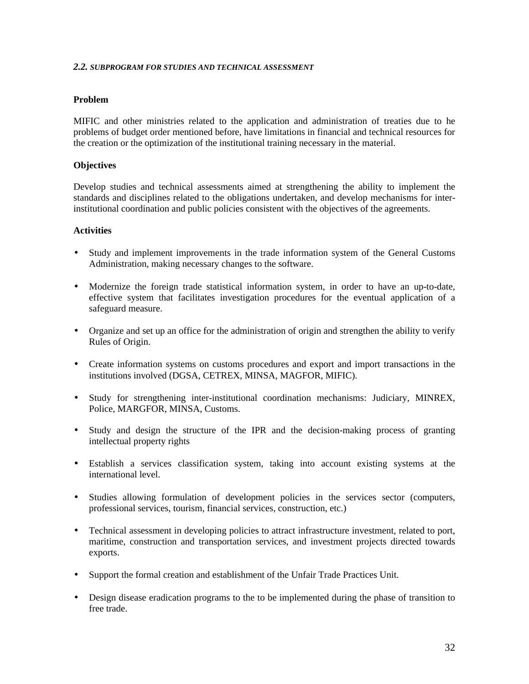#### *2.2. SUBPROGRAM FOR STUDIES AND TECHNICAL ASSESSMENT*

#### **Problem**

MIFIC and other ministries related to the application and administration of treaties due to he problems of budget order mentioned before, have limitations in financial and technical resources for the creation or the optimization of the institutional training necessary in the material.

#### **Objectives**

Develop studies and technical assessments aimed at strengthening the ability to implement the standards and disciplines related to the obligations undertaken, and develop mechanisms for interinstitutional coordination and public policies consistent with the objectives of the agreements.

- Study and implement improvements in the trade information system of the General Customs Administration, making necessary changes to the software.
- Modernize the foreign trade statistical information system, in order to have an up-to-date, effective system that facilitates investigation procedures for the eventual application of a safeguard measure.
- Organize and set up an office for the administration of origin and strengthen the ability to verify Rules of Origin.
- Create information systems on customs procedures and export and import transactions in the institutions involved (DGSA, CETREX, MINSA, MAGFOR, MIFIC).
- Study for strengthening inter-institutional coordination mechanisms: Judiciary, MINREX, Police, MARGFOR, MINSA, Customs.
- Study and design the structure of the IPR and the decision-making process of granting intellectual property rights
- Establish a services classification system, taking into account existing systems at the international level.
- Studies allowing formulation of development policies in the services sector (computers, professional services, tourism, financial services, construction, etc.)
- Technical assessment in developing policies to attract infrastructure investment, related to port, maritime, construction and transportation services, and investment projects directed towards exports.
- Support the formal creation and establishment of the Unfair Trade Practices Unit.
- Design disease eradication programs to the to be implemented during the phase of transition to free trade.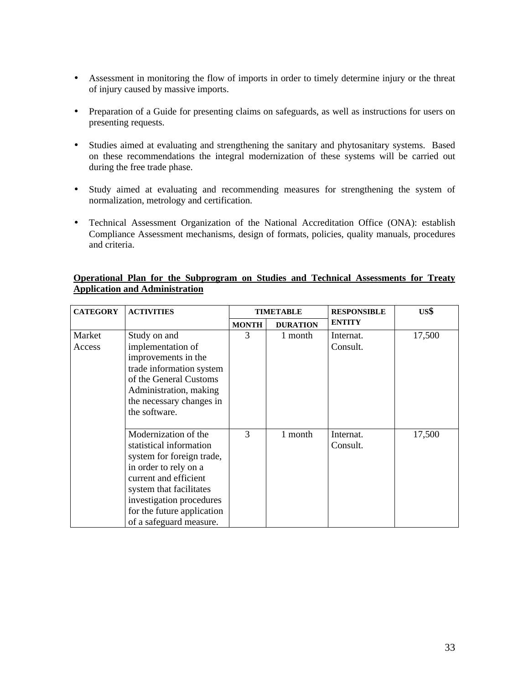- Assessment in monitoring the flow of imports in order to timely determine injury or the threat of injury caused by massive imports.
- Preparation of a Guide for presenting claims on safeguards, as well as instructions for users on presenting requests.
- Studies aimed at evaluating and strengthening the sanitary and phytosanitary systems. Based on these recommendations the integral modernization of these systems will be carried out during the free trade phase.
- Study aimed at evaluating and recommending measures for strengthening the system of normalization, metrology and certification.
- Technical Assessment Organization of the National Accreditation Office (ONA): establish Compliance Assessment mechanisms, design of formats, policies, quality manuals, procedures and criteria.

|                                       |  | Operational Plan for the Subprogram on Studies and Technical Assessments for Treaty |  |  |  |  |
|---------------------------------------|--|-------------------------------------------------------------------------------------|--|--|--|--|
| <b>Application and Administration</b> |  |                                                                                     |  |  |  |  |

| <b>CATEGORY</b>  | <b>ACTIVITIES</b>                                                                                                                                                                                                                              | <b>TIMETABLE</b> |                 | <b>RESPONSIBLE</b>    | US\$   |
|------------------|------------------------------------------------------------------------------------------------------------------------------------------------------------------------------------------------------------------------------------------------|------------------|-----------------|-----------------------|--------|
|                  |                                                                                                                                                                                                                                                | <b>MONTH</b>     | <b>DURATION</b> | <b>ENTITY</b>         |        |
| Market<br>Access | Study on and<br>implementation of<br>improvements in the<br>trade information system<br>of the General Customs<br>Administration, making<br>the necessary changes in<br>the software.                                                          | 3                | 1 month         | Internat.<br>Consult. | 17,500 |
|                  | Modernization of the<br>statistical information<br>system for foreign trade,<br>in order to rely on a<br>current and efficient<br>system that facilitates<br>investigation procedures<br>for the future application<br>of a safeguard measure. | 3                | 1 month         | Internat.<br>Consult. | 17,500 |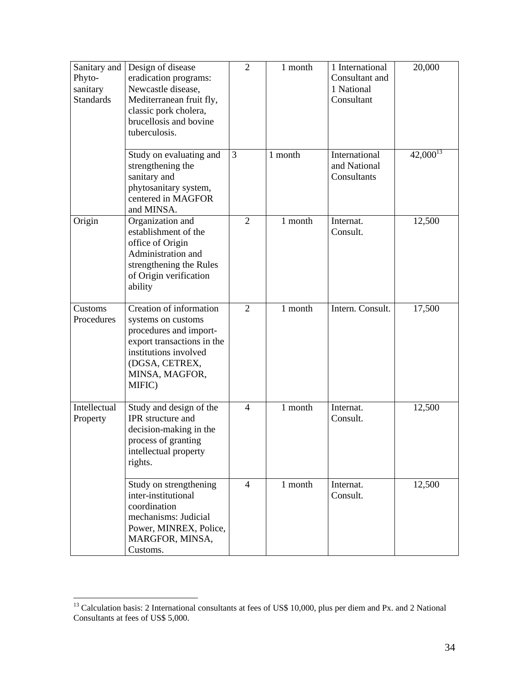| Sanitary and<br>Phyto-<br>sanitary<br><b>Standards</b> | Design of disease<br>eradication programs:<br>Newcastle disease,<br>Mediterranean fruit fly,<br>classic pork cholera,<br>brucellosis and bovine<br>tuberculosis.             | $\overline{2}$ | 1 month | 1 International<br>Consultant and<br>1 National<br>Consultant | 20,000        |
|--------------------------------------------------------|------------------------------------------------------------------------------------------------------------------------------------------------------------------------------|----------------|---------|---------------------------------------------------------------|---------------|
|                                                        | Study on evaluating and<br>strengthening the<br>sanitary and<br>phytosanitary system,<br>centered in MAGFOR<br>and MINSA.                                                    | 3              | 1 month | International<br>and National<br>Consultants                  | $42,000^{13}$ |
| Origin                                                 | Organization and<br>establishment of the<br>office of Origin<br>Administration and<br>strengthening the Rules<br>of Origin verification<br>ability                           | $\overline{2}$ | 1 month | Internat.<br>Consult.                                         | 12,500        |
| Customs<br>Procedures                                  | Creation of information<br>systems on customs<br>procedures and import-<br>export transactions in the<br>institutions involved<br>(DGSA, CETREX,<br>MINSA, MAGFOR,<br>MIFIC) | $\overline{2}$ | 1 month | Intern. Consult.                                              | 17,500        |
| Intellectual<br>Property                               | Study and design of the<br>IPR structure and<br>decision-making in the<br>process of granting<br>intellectual property<br>rights.                                            | $\overline{4}$ | 1 month | Internat.<br>Consult.                                         | 12,500        |
|                                                        | Study on strengthening<br>inter-institutional<br>coordination<br>mechanisms: Judicial<br>Power, MINREX, Police,<br>MARGFOR, MINSA,<br>Customs.                               | $\overline{4}$ | 1 month | Internat.<br>Consult.                                         | 12,500        |

<sup>&</sup>lt;sup>13</sup> Calculation basis: 2 International consultants at fees of US\$ 10,000, plus per diem and Px. and 2 National Consultants at fees of US\$ 5,000.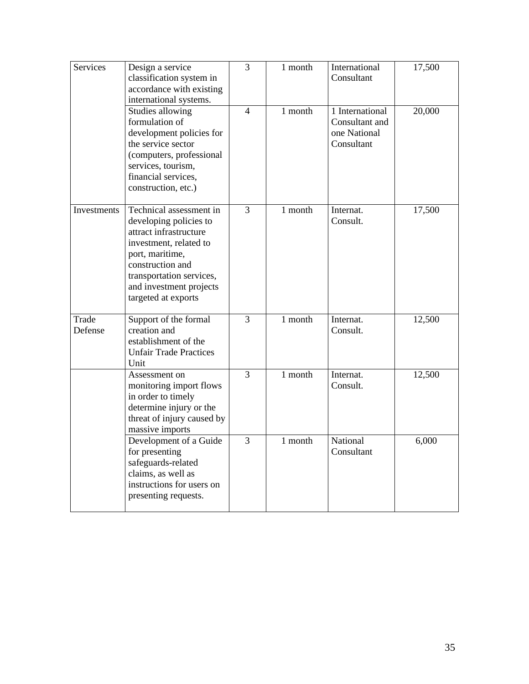| <b>Services</b>  | Design a service<br>classification system in<br>accordance with existing<br>international systems.                                                                                                                         | $\overline{3}$ | 1 month | International<br>Consultant                                     | 17,500 |
|------------------|----------------------------------------------------------------------------------------------------------------------------------------------------------------------------------------------------------------------------|----------------|---------|-----------------------------------------------------------------|--------|
|                  | Studies allowing<br>formulation of<br>development policies for<br>the service sector<br>(computers, professional<br>services, tourism,<br>financial services,<br>construction, etc.)                                       | $\overline{4}$ | 1 month | 1 International<br>Consultant and<br>one National<br>Consultant | 20,000 |
| Investments      | Technical assessment in<br>developing policies to<br>attract infrastructure<br>investment, related to<br>port, maritime,<br>construction and<br>transportation services,<br>and investment projects<br>targeted at exports | 3              | 1 month | Internat.<br>Consult.                                           | 17,500 |
| Trade<br>Defense | Support of the formal<br>creation and<br>establishment of the<br><b>Unfair Trade Practices</b><br>Unit                                                                                                                     | 3              | 1 month | Internat.<br>Consult.                                           | 12,500 |
|                  | Assessment on<br>monitoring import flows<br>in order to timely<br>determine injury or the<br>threat of injury caused by<br>massive imports                                                                                 | $\overline{3}$ | 1 month | Internat.<br>Consult.                                           | 12,500 |
|                  | Development of a Guide<br>for presenting<br>safeguards-related<br>claims, as well as<br>instructions for users on<br>presenting requests.                                                                                  | $\overline{3}$ | 1 month | National<br>Consultant                                          | 6,000  |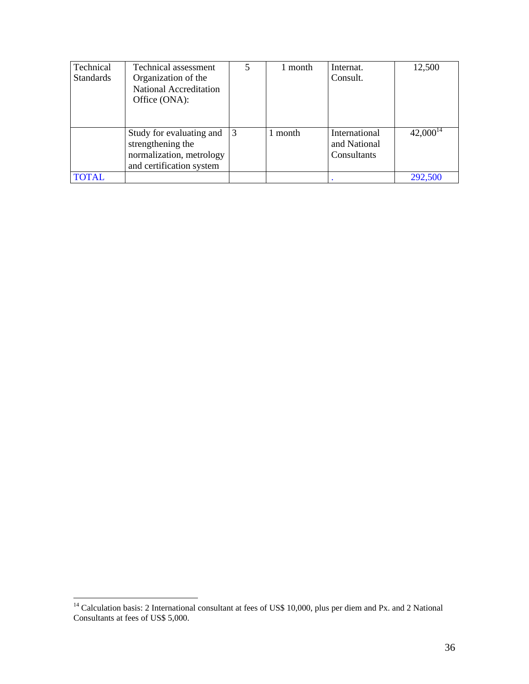| Technical<br><b>Standards</b> | Technical assessment<br>Organization of the<br>National Accreditation<br>Office (ONA):                | 5            | 1 month | Internat.<br>Consult.                        | 12,500        |
|-------------------------------|-------------------------------------------------------------------------------------------------------|--------------|---------|----------------------------------------------|---------------|
|                               | Study for evaluating and<br>strengthening the<br>normalization, metrology<br>and certification system | <sup>3</sup> | 1 month | International<br>and National<br>Consultants | $42,000^{14}$ |
| <b>TOTAL</b>                  |                                                                                                       |              |         |                                              | 292,500       |

 $14$  Calculation basis: 2 International consultant at fees of US\$ 10,000, plus per diem and Px. and 2 National Consultants at fees of US\$ 5,000.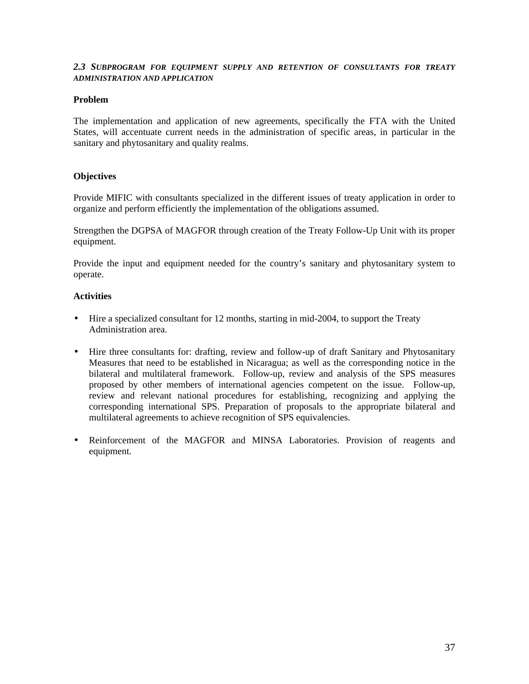#### *2.3 SUBPROGRAM FOR EQUIPMENT SUPPLY AND RETENTION OF CONSULTANTS FOR TREATY ADMINISTRATION AND APPLICATION*

#### **Problem**

The implementation and application of new agreements, specifically the FTA with the United States, will accentuate current needs in the administration of specific areas, in particular in the sanitary and phytosanitary and quality realms.

## **Objectives**

Provide MIFIC with consultants specialized in the different issues of treaty application in order to organize and perform efficiently the implementation of the obligations assumed.

Strengthen the DGPSA of MAGFOR through creation of the Treaty Follow-Up Unit with its proper equipment.

Provide the input and equipment needed for the country's sanitary and phytosanitary system to operate.

- Hire a specialized consultant for 12 months, starting in mid-2004, to support the Treaty Administration area.
- Hire three consultants for: drafting, review and follow-up of draft Sanitary and Phytosanitary Measures that need to be established in Nicaragua; as well as the corresponding notice in the bilateral and multilateral framework. Follow-up, review and analysis of the SPS measures proposed by other members of international agencies competent on the issue. Follow-up, review and relevant national procedures for establishing, recognizing and applying the corresponding international SPS. Preparation of proposals to the appropriate bilateral and multilateral agreements to achieve recognition of SPS equivalencies.
- Reinforcement of the MAGFOR and MINSA Laboratories. Provision of reagents and equipment.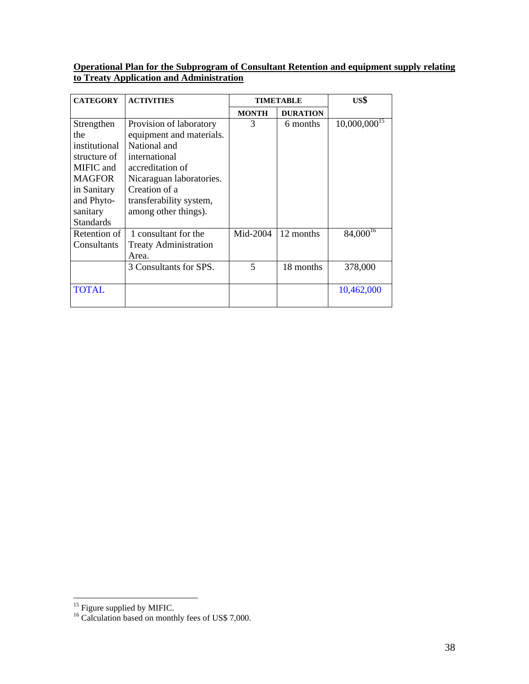## **Operational Plan for the Subprogram of Consultant Retention and equipment supply relating to Treaty Application and Administration**

| <b>CATEGORY</b>  | <b>ACTIVITIES</b>            | <b>TIMETABLE</b> |                 | US\$              |
|------------------|------------------------------|------------------|-----------------|-------------------|
|                  |                              | <b>MONTH</b>     | <b>DURATION</b> |                   |
| Strengthen       | Provision of laboratory      | 3                | 6 months        | $10,000,000^{15}$ |
| the              | equipment and materials.     |                  |                 |                   |
| institutional    | National and                 |                  |                 |                   |
| structure of     | international                |                  |                 |                   |
| MIFIC and        | accreditation of             |                  |                 |                   |
| MAGFOR           | Nicaraguan laboratories.     |                  |                 |                   |
| in Sanitary      | Creation of a                |                  |                 |                   |
| and Phyto-       | transferability system,      |                  |                 |                   |
| sanitary         | among other things).         |                  |                 |                   |
| <b>Standards</b> |                              |                  |                 |                   |
| Retention of     | 1 consultant for the         | Mid-2004         | 12 months       | $84,000^{16}$     |
| Consultants      | <b>Treaty Administration</b> |                  |                 |                   |
|                  | Area.                        |                  |                 |                   |
|                  | 3 Consultants for SPS.       | $\overline{5}$   | 18 months       | 378,000           |
|                  |                              |                  |                 |                   |
| <b>TOTAL</b>     |                              |                  |                 | 10,462,000        |
|                  |                              |                  |                 |                   |

<sup>&</sup>lt;sup>15</sup> Figure supplied by MIFIC.

<sup>&</sup>lt;sup>16</sup> Calculation based on monthly fees of US\$ 7,000.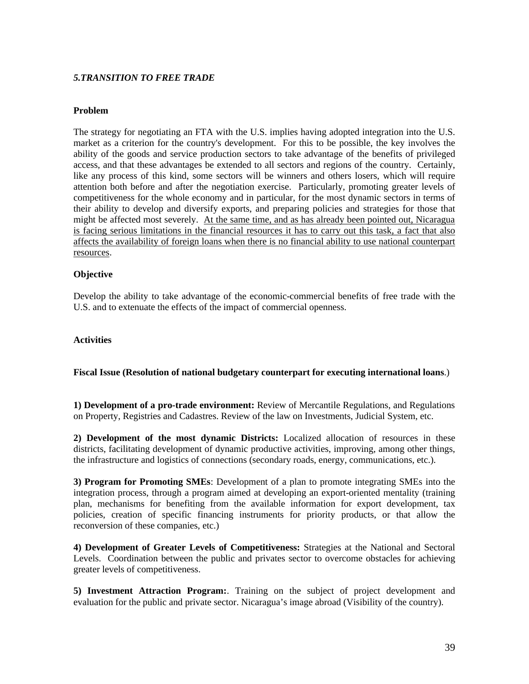#### *5.TRANSITION TO FREE TRADE*

#### **Problem**

The strategy for negotiating an FTA with the U.S. implies having adopted integration into the U.S. market as a criterion for the country's development. For this to be possible, the key involves the ability of the goods and service production sectors to take advantage of the benefits of privileged access, and that these advantages be extended to all sectors and regions of the country. Certainly, like any process of this kind, some sectors will be winners and others losers, which will require attention both before and after the negotiation exercise. Particularly, promoting greater levels of competitiveness for the whole economy and in particular, for the most dynamic sectors in terms of their ability to develop and diversify exports, and preparing policies and strategies for those that might be affected most severely. At the same time, and as has already been pointed out, Nicaragua is facing serious limitations in the financial resources it has to carry out this task, a fact that also affects the availability of foreign loans when there is no financial ability to use national counterpart resources.

#### **Objective**

Develop the ability to take advantage of the economic-commercial benefits of free trade with the U.S. and to extenuate the effects of the impact of commercial openness.

#### **Activities**

#### **Fiscal Issue (Resolution of national budgetary counterpart for executing international loans**.)

**1) Development of a pro-trade environment:** Review of Mercantile Regulations, and Regulations on Property, Registries and Cadastres. Review of the law on Investments, Judicial System, etc.

**2) Development of the most dynamic Districts:** Localized allocation of resources in these districts, facilitating development of dynamic productive activities, improving, among other things, the infrastructure and logistics of connections (secondary roads, energy, communications, etc.).

**3) Program for Promoting SMEs**: Development of a plan to promote integrating SMEs into the integration process, through a program aimed at developing an export-oriented mentality (training plan, mechanisms for benefiting from the available information for export development, tax policies, creation of specific financing instruments for priority products, or that allow the reconversion of these companies, etc.)

**4) Development of Greater Levels of Competitiveness:** Strategies at the National and Sectoral Levels. Coordination between the public and privates sector to overcome obstacles for achieving greater levels of competitiveness.

**5) Investment Attraction Program:**. Training on the subject of project development and evaluation for the public and private sector. Nicaragua's image abroad (Visibility of the country).